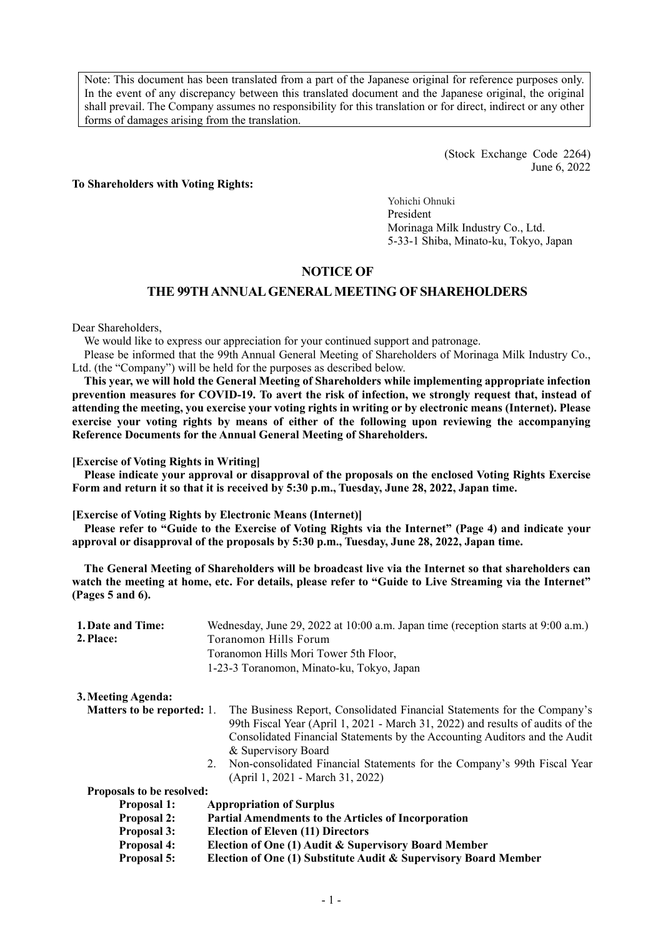Note: This document has been translated from a part of the Japanese original for reference purposes only. In the event of any discrepancy between this translated document and the Japanese original, the original shall prevail. The Company assumes no responsibility for this translation or for direct, indirect or any other forms of damages arising from the translation.

> (Stock Exchange Code 2264) June 6, 2022

#### **To Shareholders with Voting Rights:**

Yohichi Ohnuki President Morinaga Milk Industry Co., Ltd. 5-33-1 Shiba, Minato-ku, Tokyo, Japan

## **NOTICE OF**

#### **THE 99TH ANNUAL GENERAL MEETING OF SHAREHOLDERS**

Dear Shareholders,

We would like to express our appreciation for your continued support and patronage.

Please be informed that the 99th Annual General Meeting of Shareholders of Morinaga Milk Industry Co., Ltd. (the "Company") will be held for the purposes as described below.

**This year, we will hold the General Meeting of Shareholders while implementing appropriate infection prevention measures for COVID-19. To avert the risk of infection, we strongly request that, instead of attending the meeting, you exercise your voting rights in writing or by electronic means (Internet). Please exercise your voting rights by means of either of the following upon reviewing the accompanying Reference Documents for the Annual General Meeting of Shareholders.** 

**[Exercise of Voting Rights in Writing]** 

**Please indicate your approval or disapproval of the proposals on the enclosed Voting Rights Exercise Form and return it so that it is received by 5:30 p.m., Tuesday, June 28, 2022, Japan time.** 

**[Exercise of Voting Rights by Electronic Means (Internet)]** 

**Please refer to "Guide to the Exercise of Voting Rights via the Internet" (Page 4) and indicate your approval or disapproval of the proposals by 5:30 p.m., Tuesday, June 28, 2022, Japan time.** 

**The General Meeting of Shareholders will be broadcast live via the Internet so that shareholders can watch the meeting at home, etc. For details, please refer to "Guide to Live Streaming via the Internet" (Pages 5 and 6).** 

| 2. Place:<br>Toranomon Hills Forum<br>Toranomon Hills Mori Tower 5th Floor,<br>1-23-3 Toranomon, Minato-ku, Tokyo, Japan<br>3. Meeting Agenda:<br><b>Matters to be reported: 1.</b><br>& Supervisory Board<br>2.<br>(April 1, 2021 - March 31, 2022)<br>Proposals to be resolved:<br><b>Appropriation of Surplus</b><br><b>Proposal 1:</b><br><b>Proposal 2:</b><br><b>Partial Amendments to the Articles of Incorporation</b><br><b>Proposal 3:</b><br><b>Election of Eleven (11) Directors</b><br><b>Proposal 4:</b><br>Election of One (1) Audit & Supervisory Board Member<br>Election of One (1) Substitute Audit & Supervisory Board Member<br><b>Proposal 5:</b> | 1. Date and Time: | Wednesday, June 29, 2022 at 10:00 a.m. Japan time (reception starts at 9:00 a.m.)                                                                                                                                                                                                                                    |
|-------------------------------------------------------------------------------------------------------------------------------------------------------------------------------------------------------------------------------------------------------------------------------------------------------------------------------------------------------------------------------------------------------------------------------------------------------------------------------------------------------------------------------------------------------------------------------------------------------------------------------------------------------------------------|-------------------|----------------------------------------------------------------------------------------------------------------------------------------------------------------------------------------------------------------------------------------------------------------------------------------------------------------------|
|                                                                                                                                                                                                                                                                                                                                                                                                                                                                                                                                                                                                                                                                         |                   |                                                                                                                                                                                                                                                                                                                      |
|                                                                                                                                                                                                                                                                                                                                                                                                                                                                                                                                                                                                                                                                         |                   |                                                                                                                                                                                                                                                                                                                      |
|                                                                                                                                                                                                                                                                                                                                                                                                                                                                                                                                                                                                                                                                         |                   |                                                                                                                                                                                                                                                                                                                      |
|                                                                                                                                                                                                                                                                                                                                                                                                                                                                                                                                                                                                                                                                         |                   |                                                                                                                                                                                                                                                                                                                      |
|                                                                                                                                                                                                                                                                                                                                                                                                                                                                                                                                                                                                                                                                         |                   | The Business Report, Consolidated Financial Statements for the Company's<br>99th Fiscal Year (April 1, 2021 - March 31, 2022) and results of audits of the<br>Consolidated Financial Statements by the Accounting Auditors and the Audit<br>Non-consolidated Financial Statements for the Company's 99th Fiscal Year |
|                                                                                                                                                                                                                                                                                                                                                                                                                                                                                                                                                                                                                                                                         |                   |                                                                                                                                                                                                                                                                                                                      |
|                                                                                                                                                                                                                                                                                                                                                                                                                                                                                                                                                                                                                                                                         |                   |                                                                                                                                                                                                                                                                                                                      |
|                                                                                                                                                                                                                                                                                                                                                                                                                                                                                                                                                                                                                                                                         |                   |                                                                                                                                                                                                                                                                                                                      |
|                                                                                                                                                                                                                                                                                                                                                                                                                                                                                                                                                                                                                                                                         |                   |                                                                                                                                                                                                                                                                                                                      |
|                                                                                                                                                                                                                                                                                                                                                                                                                                                                                                                                                                                                                                                                         |                   |                                                                                                                                                                                                                                                                                                                      |
|                                                                                                                                                                                                                                                                                                                                                                                                                                                                                                                                                                                                                                                                         |                   |                                                                                                                                                                                                                                                                                                                      |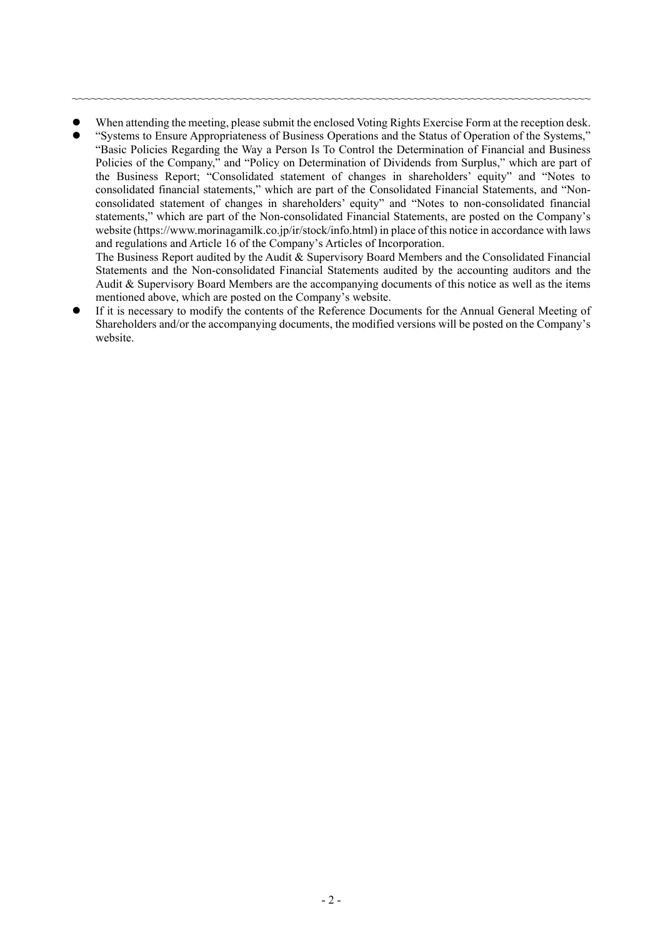When attending the meeting, please submit the enclosed Voting Rights Exercise Form at the reception desk.

~~~~~~~~~~~~~~~~~~~~~~~~~~~~~~~~~~~~~~~~~~~~~~~~~~~~~~~~~~~~~~~~~~~~~~~~~~~~~~~~~~

 "Systems to Ensure Appropriateness of Business Operations and the Status of Operation of the Systems," "Basic Policies Regarding the Way a Person Is To Control the Determination of Financial and Business Policies of the Company," and "Policy on Determination of Dividends from Surplus," which are part of the Business Report; "Consolidated statement of changes in shareholders' equity" and "Notes to consolidated financial statements," which are part of the Consolidated Financial Statements, and "Nonconsolidated statement of changes in shareholders' equity" and "Notes to non-consolidated financial statements," which are part of the Non-consolidated Financial Statements, are posted on the Company's website (https://www.morinagamilk.co.jp/ir/stock/info.html) in place of this notice in accordance with laws and regulations and Article 16 of the Company's Articles of Incorporation.

The Business Report audited by the Audit & Supervisory Board Members and the Consolidated Financial Statements and the Non-consolidated Financial Statements audited by the accounting auditors and the Audit & Supervisory Board Members are the accompanying documents of this notice as well as the items mentioned above, which are posted on the Company's website.

 If it is necessary to modify the contents of the Reference Documents for the Annual General Meeting of Shareholders and/or the accompanying documents, the modified versions will be posted on the Company's website.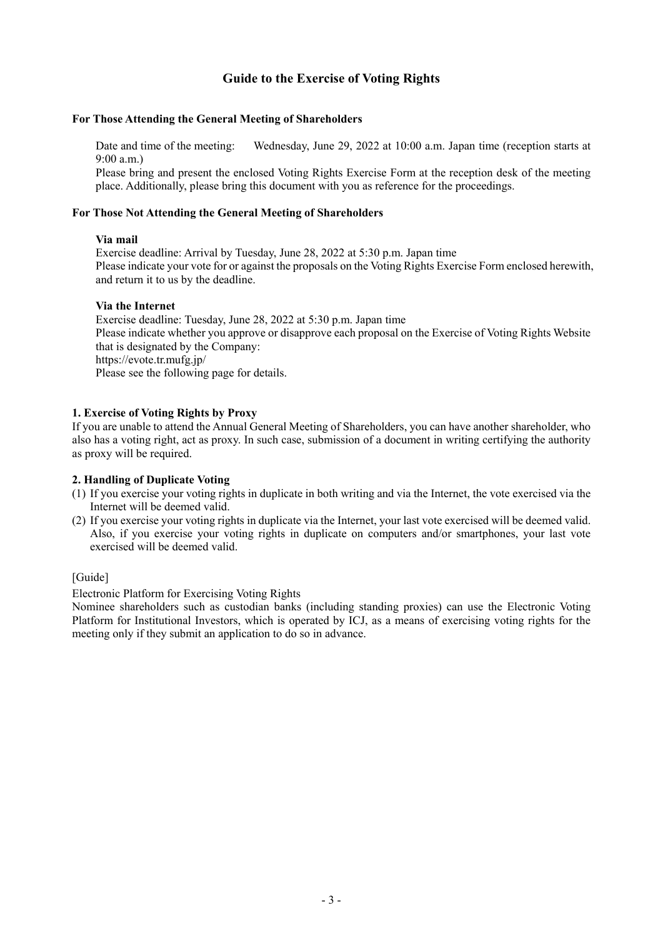# **Guide to the Exercise of Voting Rights**

#### **For Those Attending the General Meeting of Shareholders**

Date and time of the meeting: Wednesday, June 29, 2022 at 10:00 a.m. Japan time (reception starts at 9:00 a.m.)

Please bring and present the enclosed Voting Rights Exercise Form at the reception desk of the meeting place. Additionally, please bring this document with you as reference for the proceedings.

#### **For Those Not Attending the General Meeting of Shareholders**

#### **Via mail**

Exercise deadline: Arrival by Tuesday, June 28, 2022 at 5:30 p.m. Japan time Please indicate your vote for or against the proposals on the Voting Rights Exercise Form enclosed herewith, and return it to us by the deadline.

#### **Via the Internet**

Exercise deadline: Tuesday, June 28, 2022 at 5:30 p.m. Japan time Please indicate whether you approve or disapprove each proposal on the Exercise of Voting Rights Website that is designated by the Company: https://evote.tr.mufg.jp/ Please see the following page for details.

#### **1. Exercise of Voting Rights by Proxy**

If you are unable to attend the Annual General Meeting of Shareholders, you can have another shareholder, who also has a voting right, act as proxy. In such case, submission of a document in writing certifying the authority as proxy will be required.

#### **2. Handling of Duplicate Voting**

- (1) If you exercise your voting rights in duplicate in both writing and via the Internet, the vote exercised via the Internet will be deemed valid.
- (2) If you exercise your voting rights in duplicate via the Internet, your last vote exercised will be deemed valid. Also, if you exercise your voting rights in duplicate on computers and/or smartphones, your last vote exercised will be deemed valid.

### [Guide]

Electronic Platform for Exercising Voting Rights

Nominee shareholders such as custodian banks (including standing proxies) can use the Electronic Voting Platform for Institutional Investors, which is operated by ICJ, as a means of exercising voting rights for the meeting only if they submit an application to do so in advance.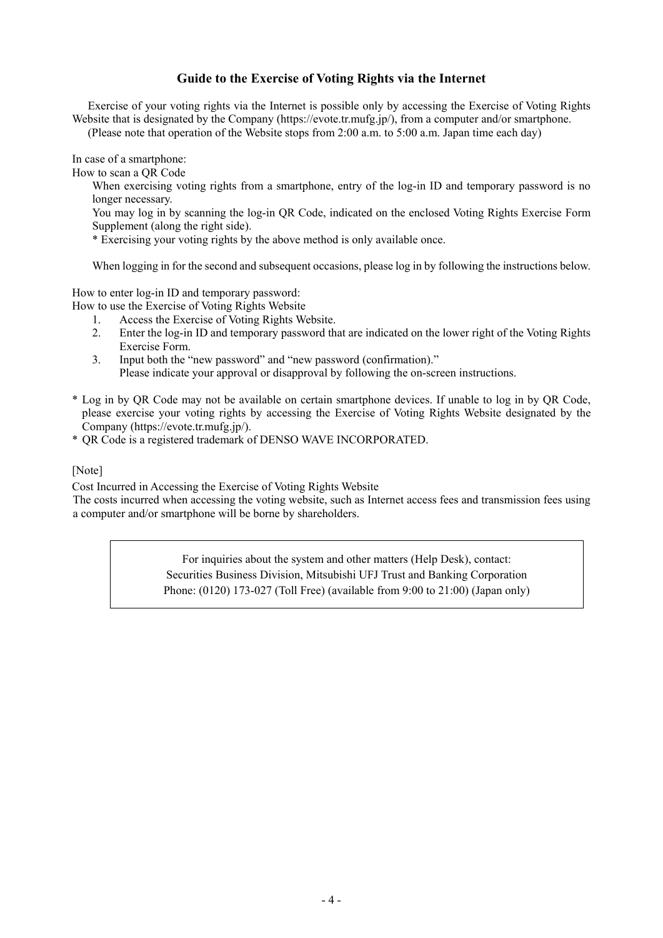# **Guide to the Exercise of Voting Rights via the Internet**

Exercise of your voting rights via the Internet is possible only by accessing the Exercise of Voting Rights Website that is designated by the Company (https://evote.tr.mufg.jp/), from a computer and/or smartphone.

(Please note that operation of the Website stops from 2:00 a.m. to 5:00 a.m. Japan time each day)

In case of a smartphone:

How to scan a QR Code

When exercising voting rights from a smartphone, entry of the log-in ID and temporary password is no longer necessary.

You may log in by scanning the log-in QR Code, indicated on the enclosed Voting Rights Exercise Form Supplement (along the right side).

\* Exercising your voting rights by the above method is only available once.

When logging in for the second and subsequent occasions, please log in by following the instructions below.

How to enter log-in ID and temporary password:

- How to use the Exercise of Voting Rights Website
	- 1. Access the Exercise of Voting Rights Website.
	- 2. Enter the log-in ID and temporary password that are indicated on the lower right of the Voting Rights Exercise Form.
	- 3. Input both the "new password" and "new password (confirmation)." Please indicate your approval or disapproval by following the on-screen instructions.
- \* Log in by QR Code may not be available on certain smartphone devices. If unable to log in by QR Code, please exercise your voting rights by accessing the Exercise of Voting Rights Website designated by the Company (https://evote.tr.mufg.jp/).

\* QR Code is a registered trademark of DENSO WAVE INCORPORATED.

#### [Note]

Cost Incurred in Accessing the Exercise of Voting Rights Website

The costs incurred when accessing the voting website, such as Internet access fees and transmission fees using a computer and/or smartphone will be borne by shareholders.

> For inquiries about the system and other matters (Help Desk), contact: Securities Business Division, Mitsubishi UFJ Trust and Banking Corporation Phone: (0120) 173-027 (Toll Free) (available from 9:00 to 21:00) (Japan only)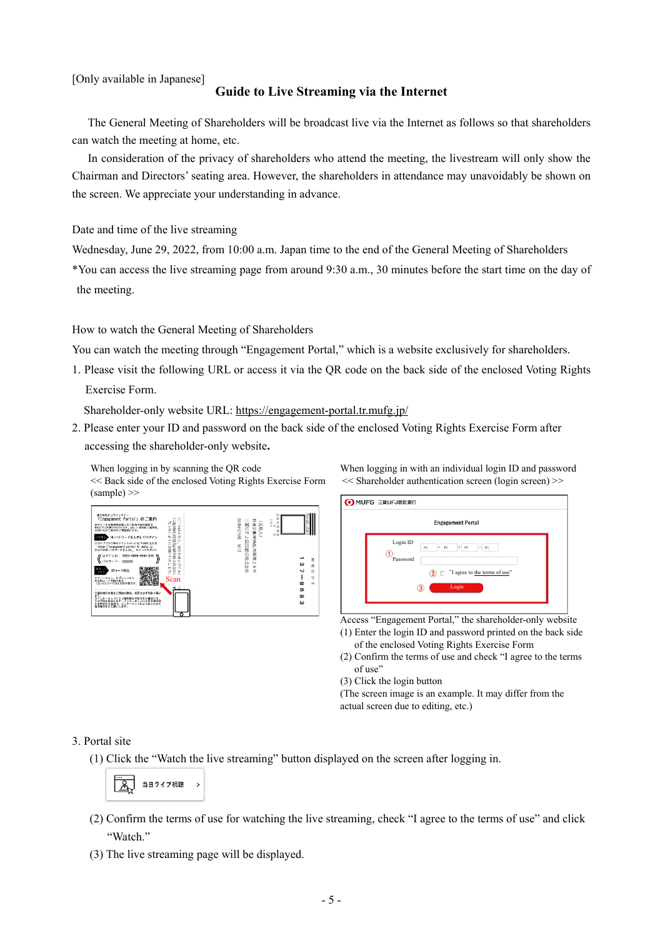[Only available in Japanese]

## **Guide to Live Streaming via the Internet**

The General Meeting of Shareholders will be broadcast live via the Internet as follows so that shareholders can watch the meeting at home, etc.

In consideration of the privacy of shareholders who attend the meeting, the livestream will only show the Chairman and Directors' seating area. However, the shareholders in attendance may unavoidably be shown on the screen. We appreciate your understanding in advance.

Date and time of the live streaming

Wednesday, June 29, 2022, from 10:00 a.m. Japan time to the end of the General Meeting of Shareholders

\*You can access the live streaming page from around 9:30 a.m., 30 minutes before the start time on the day of the meeting.

How to watch the General Meeting of Shareholders

You can watch the meeting through "Engagement Portal," which is a website exclusively for shareholders.

1. Please visit the following URL or access it via the QR code on the back side of the enclosed Voting Rights Exercise Form.

Shareholder-only website URL: https://engagement-portal.tr.mufg.jp/

2. Please enter your ID and password on the back side of the enclosed Voting Rights Exercise Form after accessing the shareholder-only website**.** 

<< Back side of the enclosed Voting Rights Exercise Form  $(sample)$ 

When logging in by scanning the QR code

| 株主総合オンラインサイト<br>「Engagement Portal」のご案内<br>Ð<br>ñ<br>ならないよ<br>トでは特主能会等へのご参加やお子続きを<br>013かきは<br>記録上でご利用いただけます。詳しくは招集ご通知等、<br>当社からのご案内をご確認紹います。<br>IB/パスワードを入力してログイン<br>3ウェブブラウザのアドレスバーに以下の現、ま入力                                                 | R<br>计分析计算<br>新東京郵便局私書箱頭<br>$\frac{1}{2}$<br>三夏口上<br>演歌人)<br>ž<br>jä.<br>Đ<br><b>u</b><br>J.<br>$\leftarrow$ |                         |
|------------------------------------------------------------------------------------------------------------------------------------------------------------------------------------------------------------------------------------------------|--------------------------------------------------------------------------------------------------------------|-------------------------|
| ○説史特言使書面記載の株主総会日に<br>うにお願いいたします。<br>https://engzgement-portal.tr.mufg.jp<br>40<br>2以下の頂/バスワードを入力し、サイトにログイン<br>安はらす<br>ログインID:<br>9959-9999-9999-999<br>パスワード:<br>995999<br>184 17,<br>0Rコード読込                                                  | 信託銀行株式会社<br>A.<br>b.<br>ω<br>w<br>dp<br>w                                                                    | 鸟<br>渝<br>$\alpha$<br>햊 |
| スマートフォン、タブレットから<br>右の訳コードを読み取る<br>(ID/パスワードの入力は不要です)<br>Scan<br>⊓েই<br>量器<br>○講夫権行使書をご開送の際は、本票を必ず切取り願い<br>ΞŦ<br>O۱<br>ンターネットにより講夫種を行使された場合には、<br> 行使を優先します。インターネットによる行使内容<br>$-2 + 12 + 12 + 6 + 27$<br>れる場合は、<br>х<br>d<br>随決長行任さお聞いします。<br>о | œ<br>Φ<br>$\infty$<br>ω                                                                                      | Ok.                     |

When logging in with an individual login ID and password << Shareholder authentication screen (login screen) >>



Access "Engagement Portal," the shareholder-only website

- (1) Enter the login ID and password printed on the back side of the enclosed Voting Rights Exercise Form
- (2) Confirm the terms of use and check "I agree to the terms of use"
- (3) Click the login button

(The screen image is an example. It may differ from the actual screen due to editing, etc.)

#### 3. Portal site

(1) Click the "Watch the live streaming" button displayed on the screen after logging in.

$$
\begin{array}{|c|c|c|c|}\n\hline\n\text{...} & \text{#H7474R} \\
\hline\n\text{...} & \text{#H747778R} \\
\hline\n\end{array}
$$

- (2) Confirm the terms of use for watching the live streaming, check "I agree to the terms of use" and click "Watch."
- (3) The live streaming page will be displayed.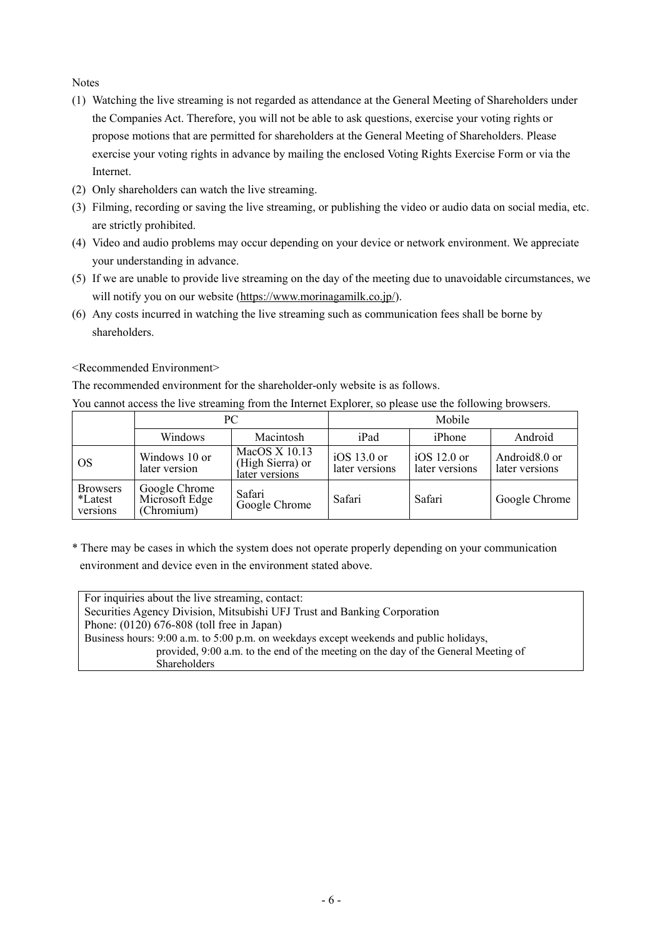**Notes** 

- (1) Watching the live streaming is not regarded as attendance at the General Meeting of Shareholders under the Companies Act. Therefore, you will not be able to ask questions, exercise your voting rights or propose motions that are permitted for shareholders at the General Meeting of Shareholders. Please exercise your voting rights in advance by mailing the enclosed Voting Rights Exercise Form or via the Internet.
- (2) Only shareholders can watch the live streaming.
- (3) Filming, recording or saving the live streaming, or publishing the video or audio data on social media, etc. are strictly prohibited.
- (4) Video and audio problems may occur depending on your device or network environment. We appreciate your understanding in advance.
- (5) If we are unable to provide live streaming on the day of the meeting due to unavoidable circumstances, we will notify you on our website (https://www.morinagamilk.co.jp/).
- (6) Any costs incurred in watching the live streaming such as communication fees shall be borne by shareholders.

<Recommended Environment>

The recommended environment for the shareholder-only website is as follows.

You cannot access the live streaming from the Internet Explorer, so please use the following browsers.

|                                        |                                               | PC.                                                   | Mobile                          |                                 |                                             |  |
|----------------------------------------|-----------------------------------------------|-------------------------------------------------------|---------------------------------|---------------------------------|---------------------------------------------|--|
|                                        | Windows                                       | Macintosh                                             | iPad                            | iPhone                          | Android                                     |  |
| <b>OS</b>                              | Windows 10 or<br>later version                | MacOS $X$ 10.13<br>(High Sierra) or<br>later versions | $iOS$ 13.0 or<br>later versions | iOS $12.0$ or<br>later versions | Android <sub>8.0</sub> or<br>later versions |  |
| <b>Browsers</b><br>*Latest<br>versions | Google Chrome<br>Microsoft Edge<br>(Chromium) | Safari<br>Google Chrome                               | Safari                          | Safari                          | Google Chrome                               |  |

\* There may be cases in which the system does not operate properly depending on your communication environment and device even in the environment stated above.

For inquiries about the live streaming, contact: Securities Agency Division, Mitsubishi UFJ Trust and Banking Corporation Phone: (0120) 676-808 (toll free in Japan) Business hours: 9:00 a.m. to 5:00 p.m. on weekdays except weekends and public holidays, provided, 9:00 a.m. to the end of the meeting on the day of the General Meeting of Shareholders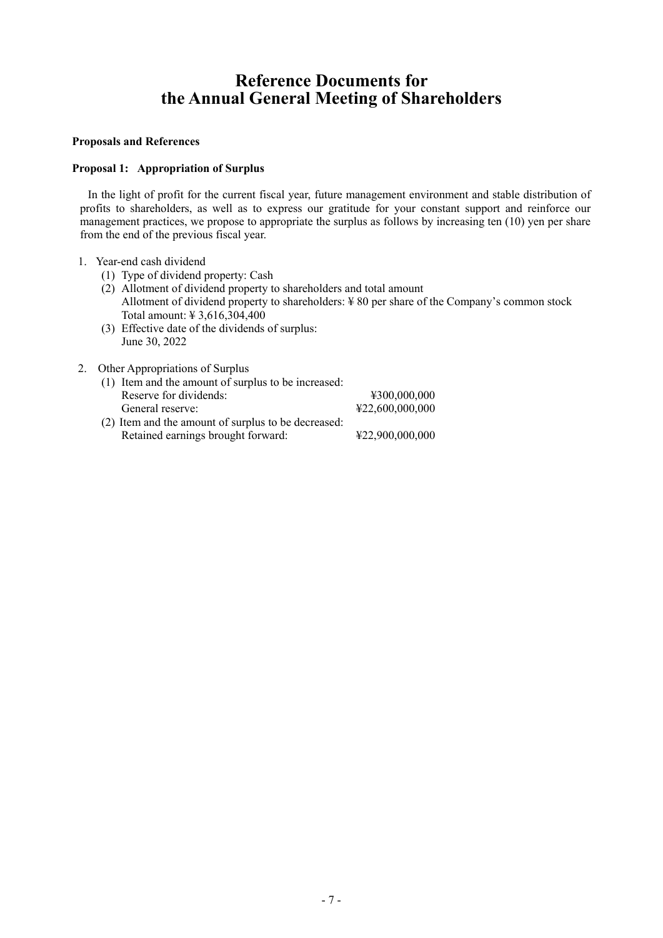# **Reference Documents for the Annual General Meeting of Shareholders**

#### **Proposals and References**

#### **Proposal 1: Appropriation of Surplus**

In the light of profit for the current fiscal year, future management environment and stable distribution of profits to shareholders, as well as to express our gratitude for your constant support and reinforce our management practices, we propose to appropriate the surplus as follows by increasing ten (10) yen per share from the end of the previous fiscal year.

#### 1. Year-end cash dividend

- (1) Type of dividend property: Cash
- (2) Allotment of dividend property to shareholders and total amount Allotment of dividend property to shareholders:  $\frac{1}{2}$  80 per share of the Company's common stock Total amount: ¥ 3,616,304,400
- (3) Effective date of the dividends of surplus: June 30, 2022
- 2. Other Appropriations of Surplus
	- (1) Item and the amount of surplus to be increased: Reserve for dividends:  $\text{\textsterling}300,000,000$ General reserve:  $\text{\$22,600,000,000}$ (2) Item and the amount of surplus to be decreased:
	- Retained earnings brought forward: ¥22,900,000,000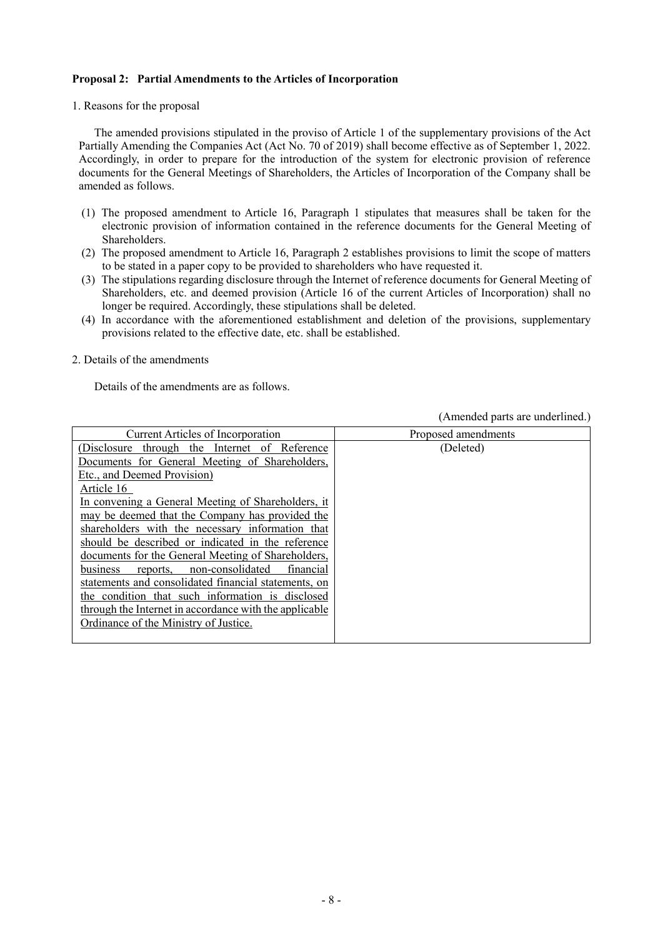#### **Proposal 2: Partial Amendments to the Articles of Incorporation**

#### 1. Reasons for the proposal

The amended provisions stipulated in the proviso of Article 1 of the supplementary provisions of the Act Partially Amending the Companies Act (Act No. 70 of 2019) shall become effective as of September 1, 2022. Accordingly, in order to prepare for the introduction of the system for electronic provision of reference documents for the General Meetings of Shareholders, the Articles of Incorporation of the Company shall be amended as follows.

- (1) The proposed amendment to Article 16, Paragraph 1 stipulates that measures shall be taken for the electronic provision of information contained in the reference documents for the General Meeting of Shareholders.
- (2) The proposed amendment to Article 16, Paragraph 2 establishes provisions to limit the scope of matters to be stated in a paper copy to be provided to shareholders who have requested it.
- (3) The stipulations regarding disclosure through the Internet of reference documents for General Meeting of Shareholders, etc. and deemed provision (Article 16 of the current Articles of Incorporation) shall no longer be required. Accordingly, these stipulations shall be deleted.
- (4) In accordance with the aforementioned establishment and deletion of the provisions, supplementary provisions related to the effective date, etc. shall be established.

#### 2. Details of the amendments

Details of the amendments are as follows.

(Amended parts are underlined.)

| <b>Current Articles of Incorporation</b>               | Proposed amendments |
|--------------------------------------------------------|---------------------|
| (Disclosure through the Internet of Reference          | (Deleted)           |
| Documents for General Meeting of Shareholders,         |                     |
| Etc., and Deemed Provision)                            |                     |
| Article 16                                             |                     |
| In convening a General Meeting of Shareholders, it     |                     |
| may be deemed that the Company has provided the        |                     |
| shareholders with the necessary information that       |                     |
| should be described or indicated in the reference      |                     |
| documents for the General Meeting of Shareholders,     |                     |
| reports, non-consolidated<br>financial<br>business     |                     |
| statements and consolidated financial statements, on   |                     |
| the condition that such information is disclosed       |                     |
| through the Internet in accordance with the applicable |                     |
| Ordinance of the Ministry of Justice.                  |                     |
|                                                        |                     |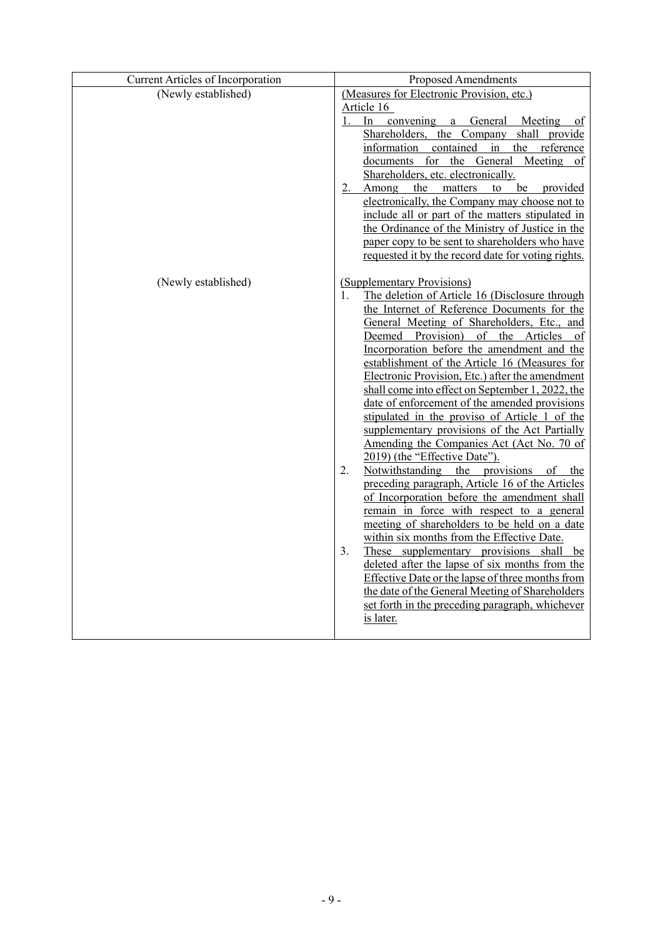| Current Articles of Incorporation | Proposed Amendments                                                                                 |
|-----------------------------------|-----------------------------------------------------------------------------------------------------|
| (Newly established)               | (Measures for Electronic Provision, etc.)                                                           |
|                                   | Article 16<br>In convening a General Meeting<br>1.<br><sub>of</sub>                                 |
|                                   | Shareholders, the Company shall provide                                                             |
|                                   | information contained in the reference                                                              |
|                                   | documents for the General Meeting of                                                                |
|                                   | Shareholders, etc. electronically.                                                                  |
|                                   | be provided<br>Among the matters to<br>$2 -$                                                        |
|                                   | electronically, the Company may choose not to                                                       |
|                                   | include all or part of the matters stipulated in                                                    |
|                                   | the Ordinance of the Ministry of Justice in the<br>paper copy to be sent to shareholders who have   |
|                                   | requested it by the record date for voting rights.                                                  |
|                                   |                                                                                                     |
| (Newly established)               | (Supplementary Provisions)                                                                          |
|                                   | The deletion of Article 16 (Disclosure through<br>1.                                                |
|                                   | the Internet of Reference Documents for the                                                         |
|                                   | General Meeting of Shareholders, Etc., and                                                          |
|                                   | Deemed Provision) of the Articles of                                                                |
|                                   | Incorporation before the amendment and the                                                          |
|                                   | establishment of the Article 16 (Measures for                                                       |
|                                   | Electronic Provision, Etc.) after the amendment<br>shall come into effect on September 1, 2022, the |
|                                   | date of enforcement of the amended provisions                                                       |
|                                   | stipulated in the proviso of Article 1 of the                                                       |
|                                   | supplementary provisions of the Act Partially                                                       |
|                                   | Amending the Companies Act (Act No. 70 of                                                           |
|                                   | 2019) (the "Effective Date").                                                                       |
|                                   | Notwithstanding the provisions<br>2.<br>of the                                                      |
|                                   | preceding paragraph, Article 16 of the Articles                                                     |
|                                   | of Incorporation before the amendment shall                                                         |
|                                   | remain in force with respect to a general<br>meeting of shareholders to be held on a date           |
|                                   | within six months from the Effective Date.                                                          |
|                                   | 3.<br>These supplementary provisions shall be                                                       |
|                                   | deleted after the lapse of six months from the                                                      |
|                                   | Effective Date or the lapse of three months from                                                    |
|                                   | the date of the General Meeting of Shareholders                                                     |
|                                   | set forth in the preceding paragraph, whichever                                                     |
|                                   | is later.                                                                                           |
|                                   |                                                                                                     |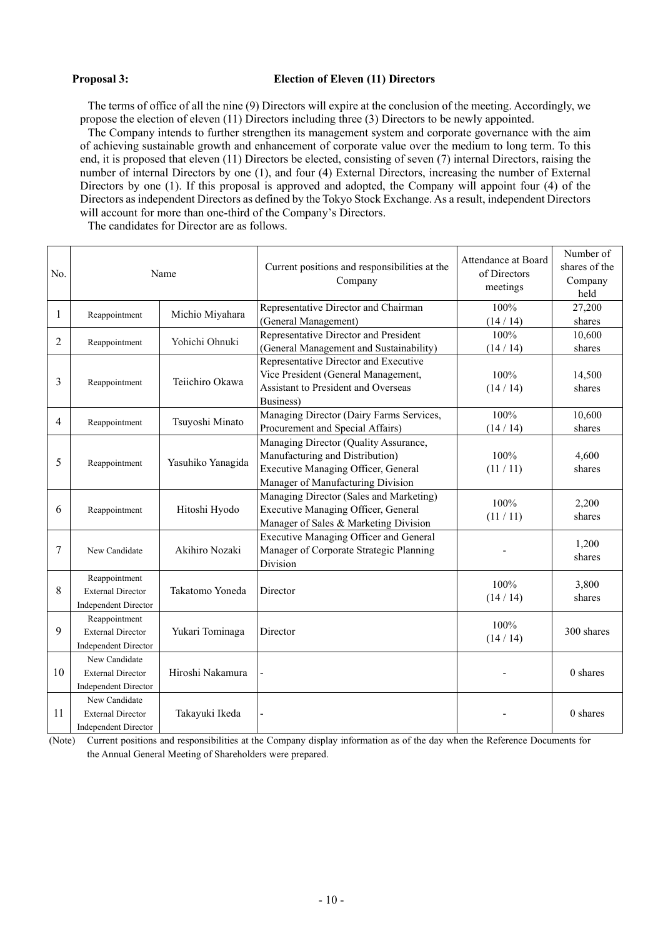#### **Proposal 3: Election of Eleven (11) Directors**

The terms of office of all the nine (9) Directors will expire at the conclusion of the meeting. Accordingly, we propose the election of eleven (11) Directors including three (3) Directors to be newly appointed.

The Company intends to further strengthen its management system and corporate governance with the aim of achieving sustainable growth and enhancement of corporate value over the medium to long term. To this end, it is proposed that eleven (11) Directors be elected, consisting of seven (7) internal Directors, raising the number of internal Directors by one (1), and four (4) External Directors, increasing the number of External Directors by one (1). If this proposal is approved and adopted, the Company will appoint four (4) of the Directors as independent Directors as defined by the Tokyo Stock Exchange. As a result, independent Directors will account for more than one-third of the Company's Directors.

The candidates for Director are as follows.

| No.            | Name                                                                     |                   | Current positions and responsibilities at the<br>Company                                                                                             | Attendance at Board<br>of Directors<br>meetings | Number of<br>shares of the<br>Company<br>held |
|----------------|--------------------------------------------------------------------------|-------------------|------------------------------------------------------------------------------------------------------------------------------------------------------|-------------------------------------------------|-----------------------------------------------|
| $\mathbf{1}$   | Reappointment                                                            | Michio Miyahara   | Representative Director and Chairman<br>(General Management)                                                                                         | 100%<br>(14/14)                                 | 27,200<br>shares                              |
| $\overline{2}$ | Reappointment                                                            | Yohichi Ohnuki    | Representative Director and President<br>(General Management and Sustainability)                                                                     | 100%<br>(14/14)                                 | 10,600<br>shares                              |
| 3              | Reappointment                                                            | Teiichiro Okawa   | Representative Director and Executive<br>Vice President (General Management,<br>Assistant to President and Overseas<br>Business)                     | 100%<br>(14/14)                                 | 14,500<br>shares                              |
| $\overline{4}$ | Reappointment                                                            | Tsuyoshi Minato   | Managing Director (Dairy Farms Services,<br>Procurement and Special Affairs)                                                                         | 100%<br>(14/14)                                 | 10,600<br>shares                              |
| 5              | Reappointment                                                            | Yasuhiko Yanagida | Managing Director (Quality Assurance,<br>Manufacturing and Distribution)<br>Executive Managing Officer, General<br>Manager of Manufacturing Division | 100%<br>(11/11)                                 | 4,600<br>shares                               |
| 6              | Reappointment                                                            | Hitoshi Hyodo     | Managing Director (Sales and Marketing)<br>Executive Managing Officer, General<br>Manager of Sales & Marketing Division                              | 100%<br>(11/11)                                 | 2,200<br>shares                               |
| 7              | New Candidate                                                            | Akihiro Nozaki    | Executive Managing Officer and General<br>Manager of Corporate Strategic Planning<br>Division                                                        |                                                 | 1,200<br>shares                               |
| 8              | Reappointment<br><b>External Director</b><br><b>Independent Director</b> | Takatomo Yoneda   | Director                                                                                                                                             | 100%<br>(14/14)                                 | 3,800<br>shares                               |
| 9              | Reappointment<br><b>External Director</b><br><b>Independent Director</b> | Yukari Tominaga   | Director                                                                                                                                             | 100%<br>(14/14)                                 | 300 shares                                    |
| 10             | New Candidate<br><b>External Director</b><br><b>Independent Director</b> | Hiroshi Nakamura  |                                                                                                                                                      |                                                 | 0 shares                                      |
| 11             | New Candidate<br><b>External Director</b><br>Independent Director        | Takayuki Ikeda    |                                                                                                                                                      |                                                 | 0 shares                                      |

(Note) Current positions and responsibilities at the Company display information as of the day when the Reference Documents for the Annual General Meeting of Shareholders were prepared.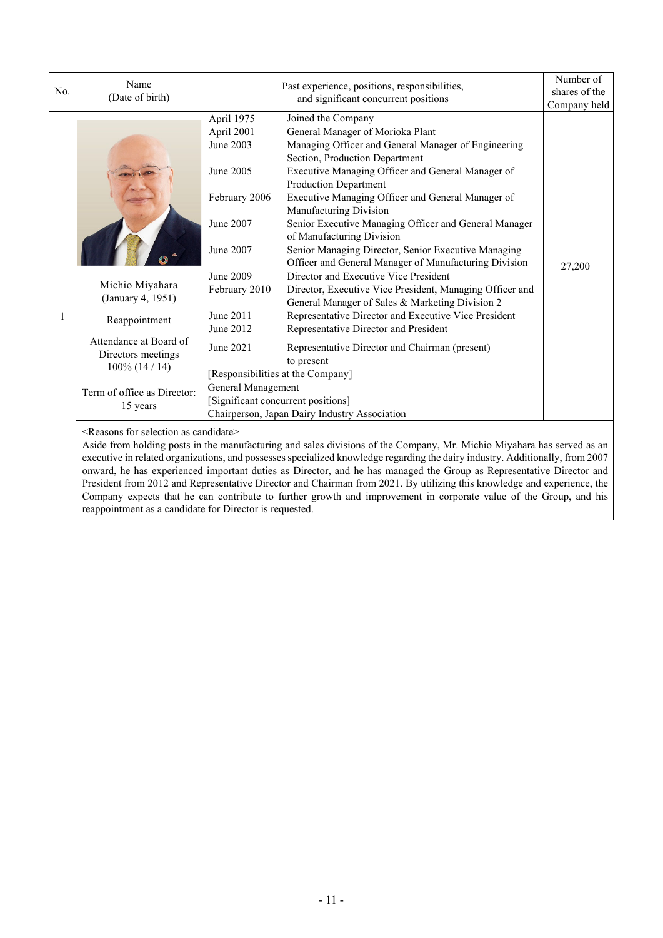| No. | Name<br>(Date of birth)                                                                                                                                               | Past experience, positions, responsibilities,<br>and significant concurrent positions                                                                                                    |                                                                                                                                                                                                                                                                                                                                                                                                                                                                                                                                                                                                                                                                                                                                                                                                                                                                                                                                                                                | Number of<br>shares of the<br>Company held |
|-----|-----------------------------------------------------------------------------------------------------------------------------------------------------------------------|------------------------------------------------------------------------------------------------------------------------------------------------------------------------------------------|--------------------------------------------------------------------------------------------------------------------------------------------------------------------------------------------------------------------------------------------------------------------------------------------------------------------------------------------------------------------------------------------------------------------------------------------------------------------------------------------------------------------------------------------------------------------------------------------------------------------------------------------------------------------------------------------------------------------------------------------------------------------------------------------------------------------------------------------------------------------------------------------------------------------------------------------------------------------------------|--------------------------------------------|
|     | Michio Miyahara<br>(January 4, 1951)<br>Reappointment<br>Attendance at Board of<br>Directors meetings<br>$100\%$ (14 / 14)<br>Term of office as Director:<br>15 years | April 1975<br>April 2001<br>June 2003<br>June 2005<br>February 2006<br>June 2007<br>June 2007<br>June 2009<br>February 2010<br>June 2011<br>June 2012<br>June 2021<br>General Management | Joined the Company<br>General Manager of Morioka Plant<br>Managing Officer and General Manager of Engineering<br>Section, Production Department<br>Executive Managing Officer and General Manager of<br><b>Production Department</b><br>Executive Managing Officer and General Manager of<br>Manufacturing Division<br>Senior Executive Managing Officer and General Manager<br>of Manufacturing Division<br>Senior Managing Director, Senior Executive Managing<br>Officer and General Manager of Manufacturing Division<br>Director and Executive Vice President<br>Director, Executive Vice President, Managing Officer and<br>General Manager of Sales & Marketing Division 2<br>Representative Director and Executive Vice President<br>Representative Director and President<br>Representative Director and Chairman (present)<br>to present<br>[Responsibilities at the Company]<br>[Significant concurrent positions]<br>Chairperson, Japan Dairy Industry Association | 27,200                                     |

<Reasons for selection as candidate>

Aside from holding posts in the manufacturing and sales divisions of the Company, Mr. Michio Miyahara has served as an executive in related organizations, and possesses specialized knowledge regarding the dairy industry. Additionally, from 2007 onward, he has experienced important duties as Director, and he has managed the Group as Representative Director and President from 2012 and Representative Director and Chairman from 2021. By utilizing this knowledge and experience, the Company expects that he can contribute to further growth and improvement in corporate value of the Group, and his reappointment as a candidate for Director is requested.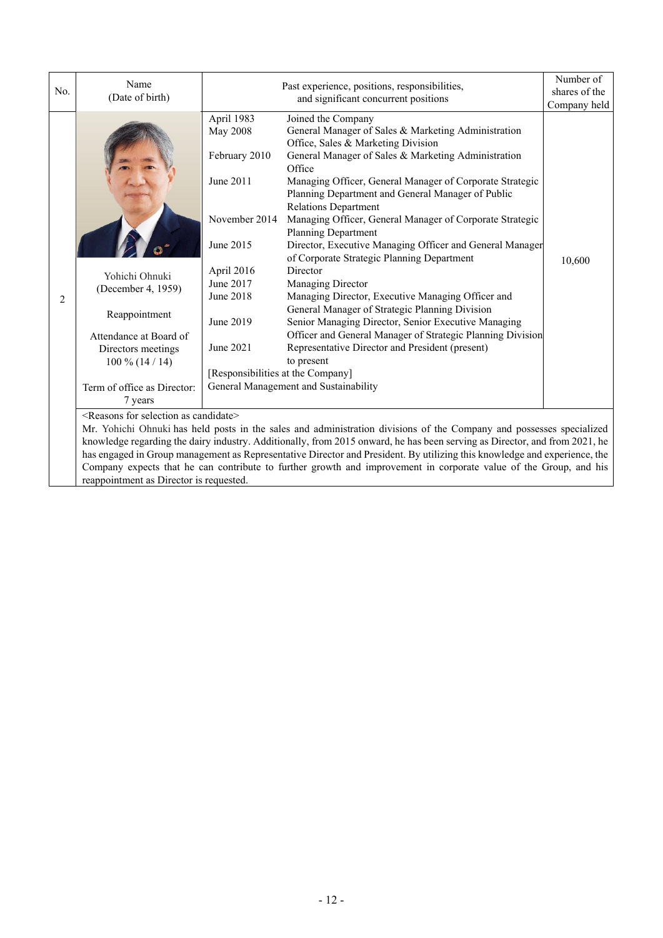| No. | Name<br>(Date of birth)                                                                                                                                                                                                                            |                                                                                                                                                                                                  | Past experience, positions, responsibilities,<br>and significant concurrent positions                                                                                                                                                                                                                                                                                                                                                                                                                                                                                                                                                                                                                                                                                                                                                                                                                       |                        |  |
|-----|----------------------------------------------------------------------------------------------------------------------------------------------------------------------------------------------------------------------------------------------------|--------------------------------------------------------------------------------------------------------------------------------------------------------------------------------------------------|-------------------------------------------------------------------------------------------------------------------------------------------------------------------------------------------------------------------------------------------------------------------------------------------------------------------------------------------------------------------------------------------------------------------------------------------------------------------------------------------------------------------------------------------------------------------------------------------------------------------------------------------------------------------------------------------------------------------------------------------------------------------------------------------------------------------------------------------------------------------------------------------------------------|------------------------|--|
| 2   | Yohichi Ohnuki<br>(December 4, 1959)<br>Reappointment<br>Attendance at Board of<br>Directors meetings<br>$100\%$ (14 / 14)<br>Term of office as Director:<br>7 years                                                                               | April 1983<br><b>May 2008</b><br>February 2010<br>June 2011<br>November 2014<br>June 2015<br>April 2016<br>June 2017<br>June 2018<br>June 2019<br>June 2021<br>[Responsibilities at the Company] | Joined the Company<br>General Manager of Sales & Marketing Administration<br>Office, Sales & Marketing Division<br>General Manager of Sales & Marketing Administration<br>Office<br>Managing Officer, General Manager of Corporate Strategic<br>Planning Department and General Manager of Public<br><b>Relations Department</b><br>Managing Officer, General Manager of Corporate Strategic<br><b>Planning Department</b><br>Director, Executive Managing Officer and General Manager<br>of Corporate Strategic Planning Department<br>Director<br>Managing Director<br>Managing Director, Executive Managing Officer and<br>General Manager of Strategic Planning Division<br>Senior Managing Director, Senior Executive Managing<br>Officer and General Manager of Strategic Planning Division<br>Representative Director and President (present)<br>to present<br>General Management and Sustainability | Company held<br>10,600 |  |
|     | $\overline{\leq}$ Reasons for selection as candidate>                                                                                                                                                                                              |                                                                                                                                                                                                  |                                                                                                                                                                                                                                                                                                                                                                                                                                                                                                                                                                                                                                                                                                                                                                                                                                                                                                             |                        |  |
|     | Mr. Yohichi Ohnuki has held posts in the sales and administration divisions of the Company and possesses specialized<br>knowledge regarding the dairy industry. Additionally, from 2015 onward, he has been serving as Director, and from 2021, he |                                                                                                                                                                                                  |                                                                                                                                                                                                                                                                                                                                                                                                                                                                                                                                                                                                                                                                                                                                                                                                                                                                                                             |                        |  |
|     | has engaged in Group management as Representative Director and President. By utilizing this knowledge and experience, the                                                                                                                          |                                                                                                                                                                                                  |                                                                                                                                                                                                                                                                                                                                                                                                                                                                                                                                                                                                                                                                                                                                                                                                                                                                                                             |                        |  |
|     |                                                                                                                                                                                                                                                    |                                                                                                                                                                                                  | Company expects that he can contribute to further growth and improvement in corporate value of the Group, and his                                                                                                                                                                                                                                                                                                                                                                                                                                                                                                                                                                                                                                                                                                                                                                                           |                        |  |
|     | reappointment as Director is requested.                                                                                                                                                                                                            |                                                                                                                                                                                                  |                                                                                                                                                                                                                                                                                                                                                                                                                                                                                                                                                                                                                                                                                                                                                                                                                                                                                                             |                        |  |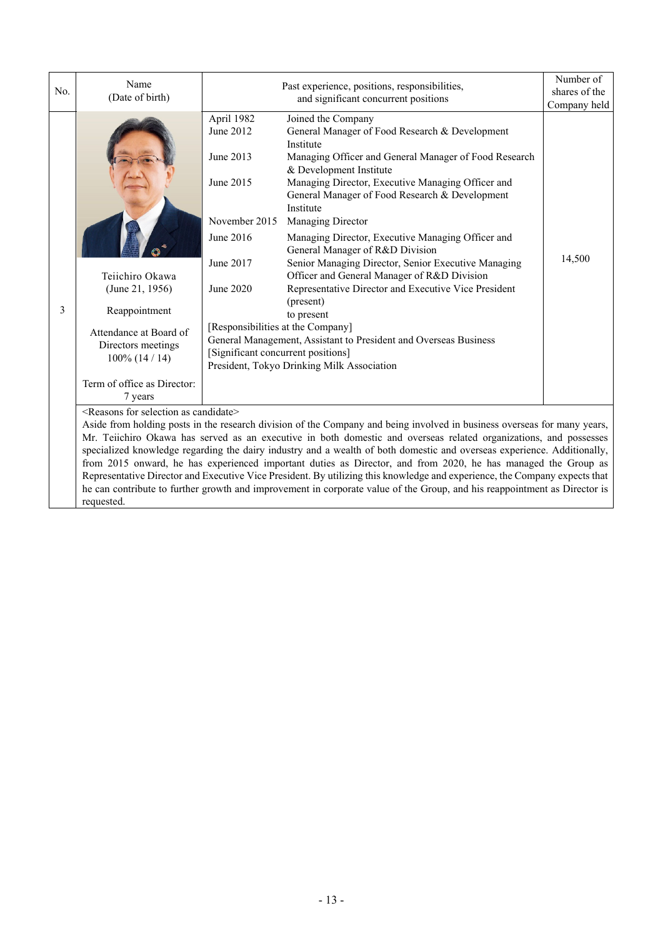| No. | Name<br>(Date of birth)                                                                                                                                 | Past experience, positions, responsibilities,<br>and significant concurrent positions                                                                                                                                                                                                                                                                                                                                                                                                                                                                                                                                                                                                                                                                                                                                                                                                                     |                                                                                                                                                                                                                                             | Number of<br>shares of the<br>Company held |  |
|-----|---------------------------------------------------------------------------------------------------------------------------------------------------------|-----------------------------------------------------------------------------------------------------------------------------------------------------------------------------------------------------------------------------------------------------------------------------------------------------------------------------------------------------------------------------------------------------------------------------------------------------------------------------------------------------------------------------------------------------------------------------------------------------------------------------------------------------------------------------------------------------------------------------------------------------------------------------------------------------------------------------------------------------------------------------------------------------------|---------------------------------------------------------------------------------------------------------------------------------------------------------------------------------------------------------------------------------------------|--------------------------------------------|--|
| 3   | Teiichiro Okawa<br>(June 21, 1956)<br>Reappointment<br>Attendance at Board of<br>Directors meetings<br>$100\%$ (14 / 14)<br>Term of office as Director: | April 1982<br>Joined the Company<br>June 2012<br>General Manager of Food Research & Development<br>Institute<br>June 2013<br>Managing Officer and General Manager of Food Research<br>& Development Institute<br>June 2015<br>Managing Director, Executive Managing Officer and<br>General Manager of Food Research & Development<br>Institute<br>November 2015<br>Managing Director<br>June 2016<br>Managing Director, Executive Managing Officer and<br>General Manager of R&D Division<br>Senior Managing Director, Senior Executive Managing<br>June 2017<br>Officer and General Manager of R&D Division<br>June 2020<br>Representative Director and Executive Vice President<br>(present)<br>to present<br>[Responsibilities at the Company]<br>General Management, Assistant to President and Overseas Business<br>[Significant concurrent positions]<br>President, Tokyo Drinking Milk Association |                                                                                                                                                                                                                                             | 14,500                                     |  |
|     | 7 years                                                                                                                                                 |                                                                                                                                                                                                                                                                                                                                                                                                                                                                                                                                                                                                                                                                                                                                                                                                                                                                                                           |                                                                                                                                                                                                                                             |                                            |  |
|     | <reasons as="" candidate="" for="" selection=""></reasons>                                                                                              |                                                                                                                                                                                                                                                                                                                                                                                                                                                                                                                                                                                                                                                                                                                                                                                                                                                                                                           |                                                                                                                                                                                                                                             |                                            |  |
|     | Aside from holding posts in the research division of the Company and being involved in business overseas for many years,                                |                                                                                                                                                                                                                                                                                                                                                                                                                                                                                                                                                                                                                                                                                                                                                                                                                                                                                                           |                                                                                                                                                                                                                                             |                                            |  |
|     |                                                                                                                                                         |                                                                                                                                                                                                                                                                                                                                                                                                                                                                                                                                                                                                                                                                                                                                                                                                                                                                                                           | Mr. Teiichiro Okawa has served as an executive in both domestic and overseas related organizations, and possesses                                                                                                                           |                                            |  |
|     |                                                                                                                                                         |                                                                                                                                                                                                                                                                                                                                                                                                                                                                                                                                                                                                                                                                                                                                                                                                                                                                                                           | specialized knowledge regarding the dairy industry and a wealth of both domestic and overseas experience. Additionally,                                                                                                                     |                                            |  |
|     |                                                                                                                                                         |                                                                                                                                                                                                                                                                                                                                                                                                                                                                                                                                                                                                                                                                                                                                                                                                                                                                                                           | from 2015 onward, he has experienced important duties as Director, and from 2020, he has managed the Group as<br>Representative Director and Executive Vice President. By utilizing this knowledge and experience, the Company expects that |                                            |  |

he can contribute to further growth and improvement in corporate value of the Group, and his reappointment as Director is requested.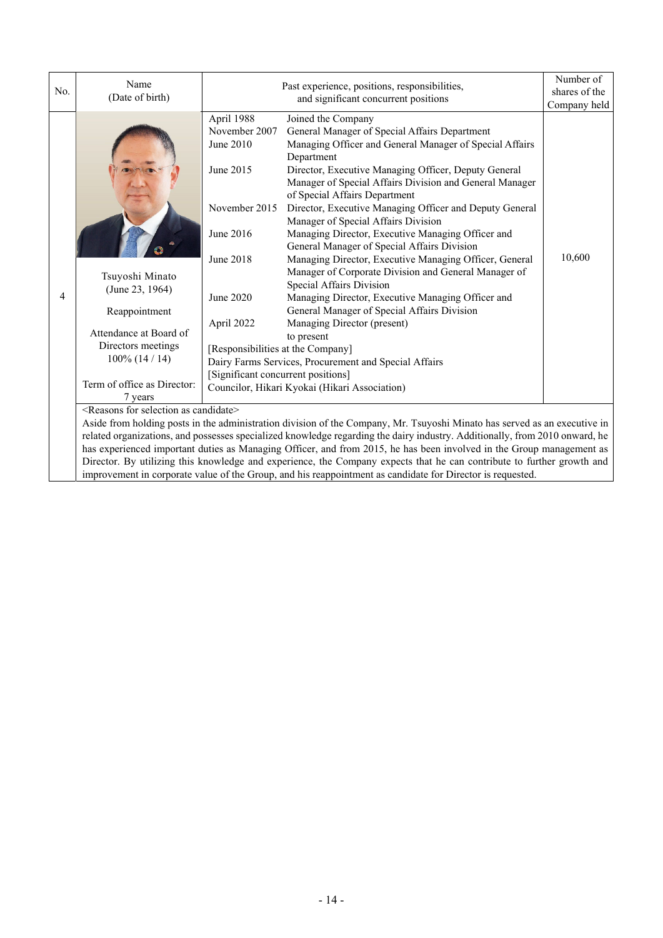| No. | Name<br>(Date of birth)                                                                                                                                                                  | Past experience, positions, responsibilities,<br>and significant concurrent positions                                                                                                                  |                                                                                                                                                                                                                                                                                                                                                                                                                                                                                                                                                                                                                                                                                                                                                                                                                                                                                                                 | Number of<br>shares of the<br>Company held |
|-----|------------------------------------------------------------------------------------------------------------------------------------------------------------------------------------------|--------------------------------------------------------------------------------------------------------------------------------------------------------------------------------------------------------|-----------------------------------------------------------------------------------------------------------------------------------------------------------------------------------------------------------------------------------------------------------------------------------------------------------------------------------------------------------------------------------------------------------------------------------------------------------------------------------------------------------------------------------------------------------------------------------------------------------------------------------------------------------------------------------------------------------------------------------------------------------------------------------------------------------------------------------------------------------------------------------------------------------------|--------------------------------------------|
| 4   | Tsuyoshi Minato<br>(June 23, 1964)<br>Reappointment<br>Attendance at Board of<br>Directors meetings<br>$100\%$ (14 / 14)<br>Term of office as Director:<br>7 years                       | April 1988<br>November 2007<br>June 2010<br>June 2015<br>November 2015<br>June 2016<br>June 2018<br>June 2020<br>April 2022<br>[Responsibilities at the Company]<br>[Significant concurrent positions] | Joined the Company<br>General Manager of Special Affairs Department<br>Managing Officer and General Manager of Special Affairs<br>Department<br>Director, Executive Managing Officer, Deputy General<br>Manager of Special Affairs Division and General Manager<br>of Special Affairs Department<br>Director, Executive Managing Officer and Deputy General<br>Manager of Special Affairs Division<br>Managing Director, Executive Managing Officer and<br>General Manager of Special Affairs Division<br>Managing Director, Executive Managing Officer, General<br>Manager of Corporate Division and General Manager of<br>Special Affairs Division<br>Managing Director, Executive Managing Officer and<br>General Manager of Special Affairs Division<br>Managing Director (present)<br>to present<br>Dairy Farms Services, Procurement and Special Affairs<br>Councilor, Hikari Kyokai (Hikari Association) | 10,600                                     |
|     | <reasons as="" candidate="" for="" selection=""><br/>Aside from holding posts in the administration division of the Company, Mr. Tsuyoshi Minato has served as an executive in</reasons> |                                                                                                                                                                                                        |                                                                                                                                                                                                                                                                                                                                                                                                                                                                                                                                                                                                                                                                                                                                                                                                                                                                                                                 |                                            |
|     |                                                                                                                                                                                          |                                                                                                                                                                                                        | related organizations, and possesses specialized knowledge regarding the dairy industry. Additionally, from 2010 onward, he                                                                                                                                                                                                                                                                                                                                                                                                                                                                                                                                                                                                                                                                                                                                                                                     |                                            |
|     |                                                                                                                                                                                          |                                                                                                                                                                                                        | has experienced important duties as Managing Officer, and from 2015, he has been involved in the Group management as<br>Director. By utilizing this knowledge and experience, the Company expects that he can contribute to further growth and                                                                                                                                                                                                                                                                                                                                                                                                                                                                                                                                                                                                                                                                  |                                            |
|     |                                                                                                                                                                                          |                                                                                                                                                                                                        | improvement in corporate value of the Group, and his reappointment as candidate for Director is requested.                                                                                                                                                                                                                                                                                                                                                                                                                                                                                                                                                                                                                                                                                                                                                                                                      |                                            |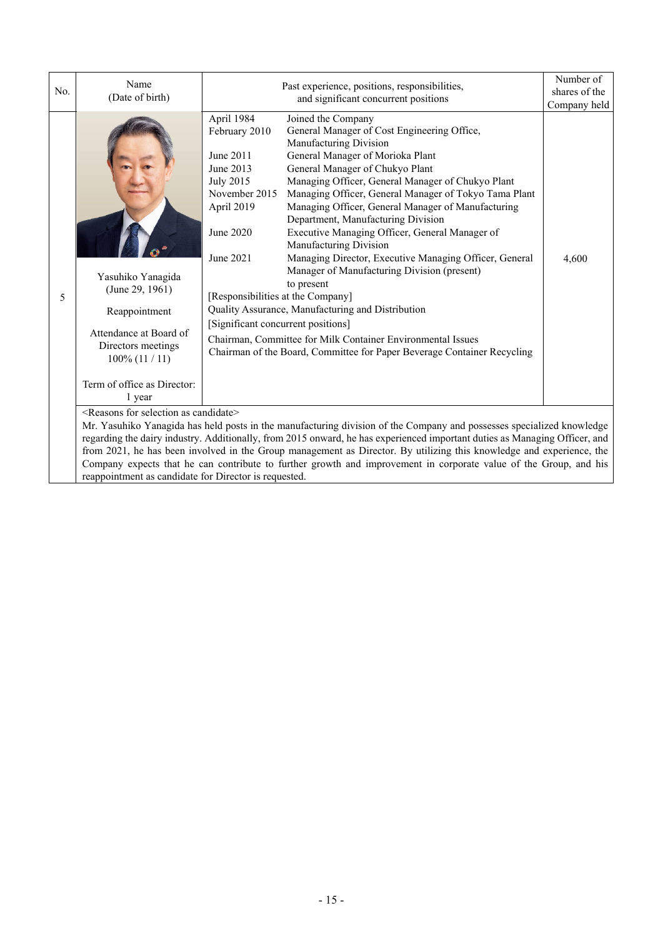| No. | Name<br>(Date of birth)                                                                                                                                                                                                                                                                                                                                                                                                                                                                                                                                            | Past experience, positions, responsibilities,<br>and significant concurrent positions                                                                                                                                                                                                                                                                                                                                                                                                                                                                                                                                                                                                                                                                                                                                                                                                                                                                                                           | Number of<br>shares of the<br>Company held |  |
|-----|--------------------------------------------------------------------------------------------------------------------------------------------------------------------------------------------------------------------------------------------------------------------------------------------------------------------------------------------------------------------------------------------------------------------------------------------------------------------------------------------------------------------------------------------------------------------|-------------------------------------------------------------------------------------------------------------------------------------------------------------------------------------------------------------------------------------------------------------------------------------------------------------------------------------------------------------------------------------------------------------------------------------------------------------------------------------------------------------------------------------------------------------------------------------------------------------------------------------------------------------------------------------------------------------------------------------------------------------------------------------------------------------------------------------------------------------------------------------------------------------------------------------------------------------------------------------------------|--------------------------------------------|--|
| 5   | Yasuhiko Yanagida<br>(June 29, 1961)<br>Reappointment<br>Attendance at Board of<br>Directors meetings<br>$100\%$ (11 / 11)<br>Term of office as Director:<br>1 year                                                                                                                                                                                                                                                                                                                                                                                                | April 1984<br>Joined the Company<br>General Manager of Cost Engineering Office,<br>February 2010<br>Manufacturing Division<br>General Manager of Morioka Plant<br>June 2011<br>June 2013<br>General Manager of Chukyo Plant<br>Managing Officer, General Manager of Chukyo Plant<br><b>July 2015</b><br>November 2015<br>Managing Officer, General Manager of Tokyo Tama Plant<br>Managing Officer, General Manager of Manufacturing<br>April 2019<br>Department, Manufacturing Division<br>Executive Managing Officer, General Manager of<br>June 2020<br>Manufacturing Division<br>June 2021<br>Managing Director, Executive Managing Officer, General<br>Manager of Manufacturing Division (present)<br>to present<br>[Responsibilities at the Company]<br>Quality Assurance, Manufacturing and Distribution<br>[Significant concurrent positions]<br>Chairman, Committee for Milk Container Environmental Issues<br>Chairman of the Board, Committee for Paper Beverage Container Recycling | 4,600                                      |  |
|     | <reasons as="" candidate="" for="" selection=""><br/>Mr. Yasuhiko Yanagida has held posts in the manufacturing division of the Company and possesses specialized knowledge<br/>regarding the dairy industry. Additionally, from 2015 onward, he has experienced important duties as Managing Officer, and<br/>from 2021, he has been involved in the Group management as Director. By utilizing this knowledge and experience, the<br/>Company expects that he can contribute to further growth and improvement in corporate value of the Group, and his</reasons> |                                                                                                                                                                                                                                                                                                                                                                                                                                                                                                                                                                                                                                                                                                                                                                                                                                                                                                                                                                                                 |                                            |  |
|     | reappointment as candidate for Director is requested.                                                                                                                                                                                                                                                                                                                                                                                                                                                                                                              |                                                                                                                                                                                                                                                                                                                                                                                                                                                                                                                                                                                                                                                                                                                                                                                                                                                                                                                                                                                                 |                                            |  |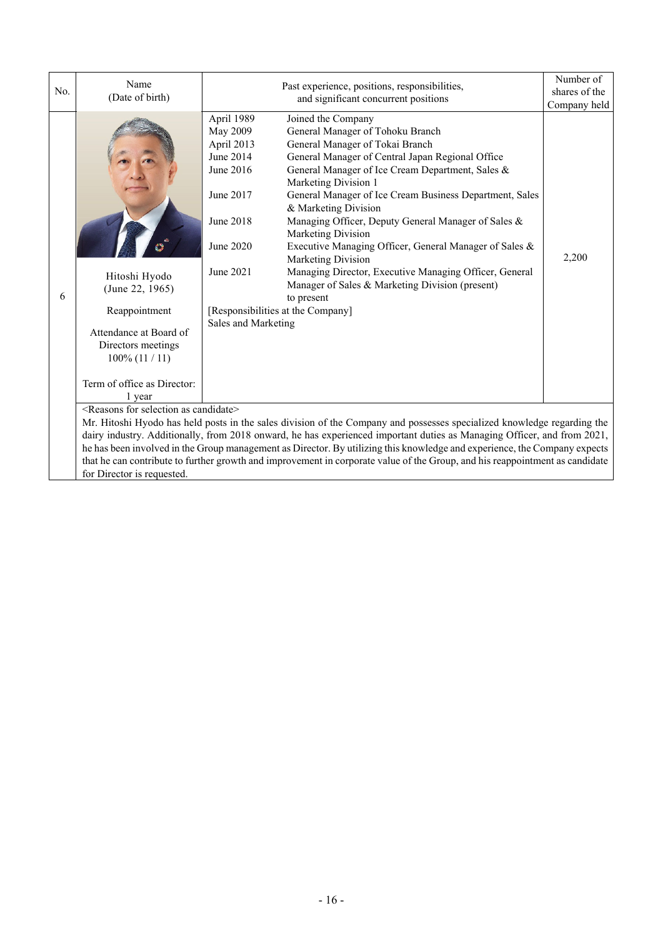| No. | Name<br>(Date of birth)                                                                                                                                                                                                                                                                                                                                                                                                                                                                                                                                                                                          | Past experience, positions, responsibilities,<br>and significant concurrent positions                                                                                                                                                                                                                                                                                                                                                                                                                                                                                                                                                                                                                                                                                                         | Number of<br>shares of the<br>Company held |  |
|-----|------------------------------------------------------------------------------------------------------------------------------------------------------------------------------------------------------------------------------------------------------------------------------------------------------------------------------------------------------------------------------------------------------------------------------------------------------------------------------------------------------------------------------------------------------------------------------------------------------------------|-----------------------------------------------------------------------------------------------------------------------------------------------------------------------------------------------------------------------------------------------------------------------------------------------------------------------------------------------------------------------------------------------------------------------------------------------------------------------------------------------------------------------------------------------------------------------------------------------------------------------------------------------------------------------------------------------------------------------------------------------------------------------------------------------|--------------------------------------------|--|
| 6   | Hitoshi Hyodo<br>(June 22, 1965)<br>Reappointment<br>Attendance at Board of<br>Directors meetings<br>$100\%$ (11 / 11)<br>Term of office as Director:<br>1 year                                                                                                                                                                                                                                                                                                                                                                                                                                                  | April 1989<br>Joined the Company<br><b>May 2009</b><br>General Manager of Tohoku Branch<br>April 2013<br>General Manager of Tokai Branch<br>General Manager of Central Japan Regional Office<br>June 2014<br>June 2016<br>General Manager of Ice Cream Department, Sales &<br>Marketing Division 1<br>June 2017<br>General Manager of Ice Cream Business Department, Sales<br>& Marketing Division<br>Managing Officer, Deputy General Manager of Sales &<br>June 2018<br>Marketing Division<br>June 2020<br>Executive Managing Officer, General Manager of Sales &<br>Marketing Division<br>June 2021<br>Managing Director, Executive Managing Officer, General<br>Manager of Sales & Marketing Division (present)<br>to present<br>[Responsibilities at the Company]<br>Sales and Marketing | 2,200                                      |  |
|     | <reasons as="" candidate="" for="" selection=""><br/>Mr. Hitoshi Hyodo has held posts in the sales division of the Company and possesses specialized knowledge regarding the<br/>dairy industry. Additionally, from 2018 onward, he has experienced important duties as Managing Officer, and from 2021,<br/>he has been involved in the Group management as Director. By utilizing this knowledge and experience, the Company expects<br/>that he can contribute to further growth and improvement in corporate value of the Group, and his reappointment as candidate<br/>for Director is requested.</reasons> |                                                                                                                                                                                                                                                                                                                                                                                                                                                                                                                                                                                                                                                                                                                                                                                               |                                            |  |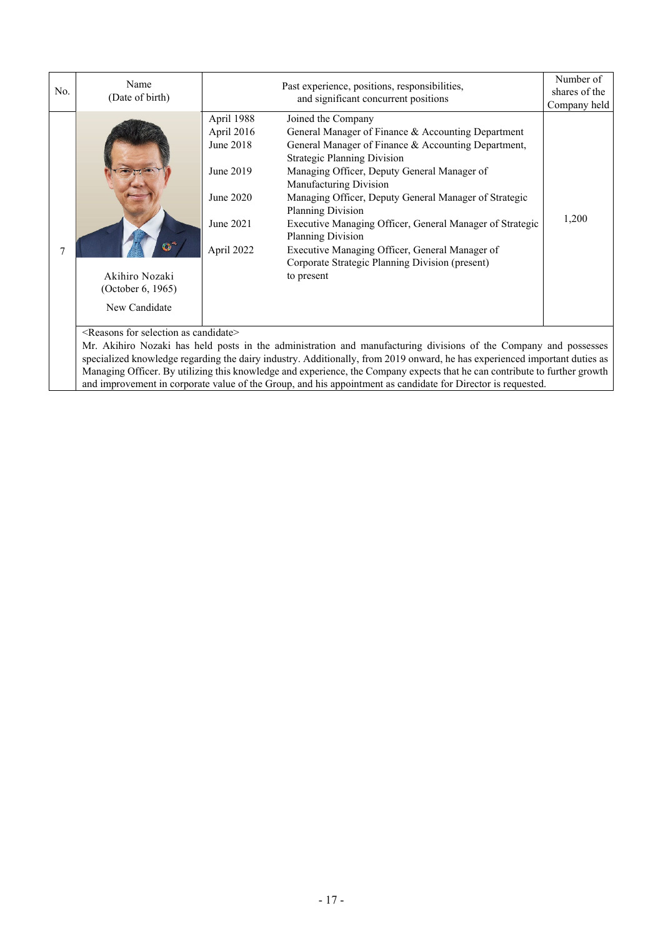| No. | Name<br>(Date of birth)                                                               |                                                                                            | Number of<br>shares of the<br>Company held                                                                                                                                                                                                                                                                                                                                                                                                                                                                                                     |       |
|-----|---------------------------------------------------------------------------------------|--------------------------------------------------------------------------------------------|------------------------------------------------------------------------------------------------------------------------------------------------------------------------------------------------------------------------------------------------------------------------------------------------------------------------------------------------------------------------------------------------------------------------------------------------------------------------------------------------------------------------------------------------|-------|
|     | Akihiro Nozaki<br>(October 6, 1965)<br>New Candidate                                  | April 1988<br>April 2016<br>June 2018<br>June 2019<br>June 2020<br>June 2021<br>April 2022 | Joined the Company<br>General Manager of Finance & Accounting Department<br>General Manager of Finance & Accounting Department,<br><b>Strategic Planning Division</b><br>Managing Officer, Deputy General Manager of<br>Manufacturing Division<br>Managing Officer, Deputy General Manager of Strategic<br><b>Planning Division</b><br>Executive Managing Officer, General Manager of Strategic<br><b>Planning Division</b><br>Executive Managing Officer, General Manager of<br>Corporate Strategic Planning Division (present)<br>to present | 1,200 |
|     | $\sqrt{2}$ and $\sqrt{2}$ and $\sqrt{2}$ and $\sqrt{2}$ and $\sqrt{2}$ and $\sqrt{2}$ | $11.1 \times$                                                                              |                                                                                                                                                                                                                                                                                                                                                                                                                                                                                                                                                |       |

<Reasons for selection as candidate>

Mr. Akihiro Nozaki has held posts in the administration and manufacturing divisions of the Company and possesses specialized knowledge regarding the dairy industry. Additionally, from 2019 onward, he has experienced important duties as Managing Officer. By utilizing this knowledge and experience, the Company expects that he can contribute to further growth and improvement in corporate value of the Group, and his appointment as candidate for Director is requested.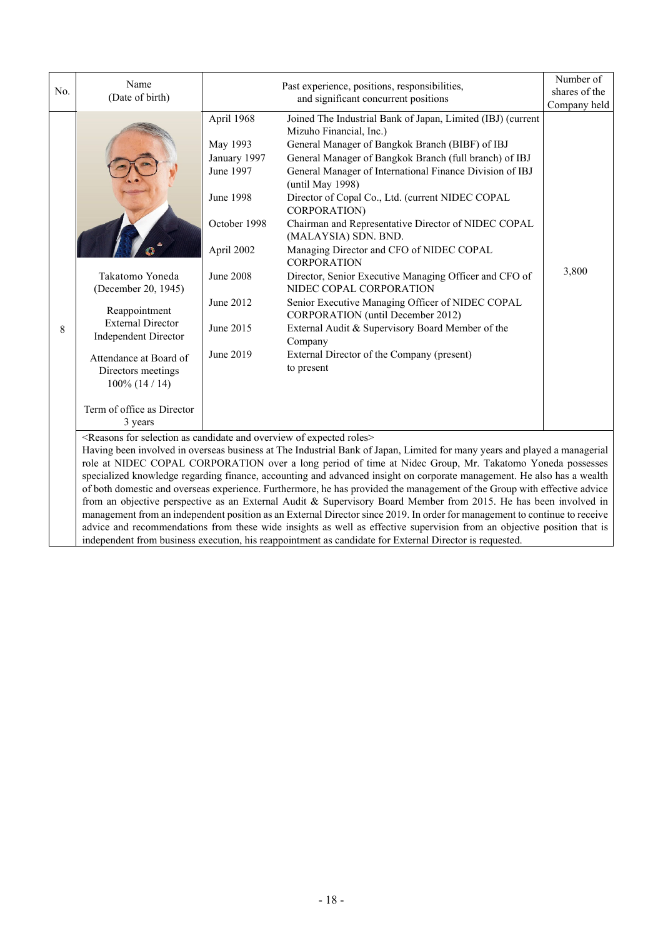| No. | Name                                                                                                                                                                                                                                           |                                                                                                                                                           | Past experience, positions, responsibilities,<br>and significant concurrent positions                                                                                                                                                                                                                                                                                                                                                                                                                                                                                                                                                                                                                                                                                                                             |       |  |  |  |  |
|-----|------------------------------------------------------------------------------------------------------------------------------------------------------------------------------------------------------------------------------------------------|-----------------------------------------------------------------------------------------------------------------------------------------------------------|-------------------------------------------------------------------------------------------------------------------------------------------------------------------------------------------------------------------------------------------------------------------------------------------------------------------------------------------------------------------------------------------------------------------------------------------------------------------------------------------------------------------------------------------------------------------------------------------------------------------------------------------------------------------------------------------------------------------------------------------------------------------------------------------------------------------|-------|--|--|--|--|
|     | (Date of birth)                                                                                                                                                                                                                                |                                                                                                                                                           | shares of the<br>Company held                                                                                                                                                                                                                                                                                                                                                                                                                                                                                                                                                                                                                                                                                                                                                                                     |       |  |  |  |  |
| 8   | Takatomo Yoneda<br>(December 20, 1945)<br>Reappointment<br><b>External Director</b><br><b>Independent Director</b><br>Attendance at Board of<br>Directors meetings<br>$100\%$ (14 / 14)<br>Term of office as Director<br>3 years               | April 1968<br>May 1993<br>January 1997<br>June 1997<br>June 1998<br>October 1998<br>April 2002<br><b>June 2008</b><br>June 2012<br>June 2015<br>June 2019 | Joined The Industrial Bank of Japan, Limited (IBJ) (current<br>Mizuho Financial, Inc.)<br>General Manager of Bangkok Branch (BIBF) of IBJ<br>General Manager of Bangkok Branch (full branch) of IBJ<br>General Manager of International Finance Division of IBJ<br>(until May 1998)<br>Director of Copal Co., Ltd. (current NIDEC COPAL<br>CORPORATION)<br>Chairman and Representative Director of NIDEC COPAL<br>(MALAYSIA) SDN. BND.<br>Managing Director and CFO of NIDEC COPAL<br><b>CORPORATION</b><br>Director, Senior Executive Managing Officer and CFO of<br>NIDEC COPAL CORPORATION<br>Senior Executive Managing Officer of NIDEC COPAL<br>CORPORATION (until December 2012)<br>External Audit & Supervisory Board Member of the<br>Company<br>External Director of the Company (present)<br>to present | 3,800 |  |  |  |  |
|     | <reasons and="" as="" candidate="" expected="" for="" of="" overview="" roles="" selection=""></reasons>                                                                                                                                       |                                                                                                                                                           |                                                                                                                                                                                                                                                                                                                                                                                                                                                                                                                                                                                                                                                                                                                                                                                                                   |       |  |  |  |  |
|     |                                                                                                                                                                                                                                                |                                                                                                                                                           | Having been involved in overseas business at The Industrial Bank of Japan, Limited for many years and played a managerial<br>role at NIDEC COPAL CORPORATION over a long period of time at Nidec Group, Mr. Takatomo Yoneda possesses                                                                                                                                                                                                                                                                                                                                                                                                                                                                                                                                                                             |       |  |  |  |  |
|     |                                                                                                                                                                                                                                                | specialized knowledge regarding finance, accounting and advanced insight on corporate management. He also has a wealth                                    |                                                                                                                                                                                                                                                                                                                                                                                                                                                                                                                                                                                                                                                                                                                                                                                                                   |       |  |  |  |  |
|     | of both domestic and overseas experience. Furthermore, he has provided the management of the Group with effective advice                                                                                                                       |                                                                                                                                                           |                                                                                                                                                                                                                                                                                                                                                                                                                                                                                                                                                                                                                                                                                                                                                                                                                   |       |  |  |  |  |
|     | from an objective perspective as an External Audit & Supervisory Board Member from 2015. He has been involved in<br>management from an independent position as an External Director since 2019. In order for management to continue to receive |                                                                                                                                                           |                                                                                                                                                                                                                                                                                                                                                                                                                                                                                                                                                                                                                                                                                                                                                                                                                   |       |  |  |  |  |

advice and recommendations from these wide insights as well as effective supervision from an objective position that is

independent from business execution, his reappointment as candidate for External Director is requested.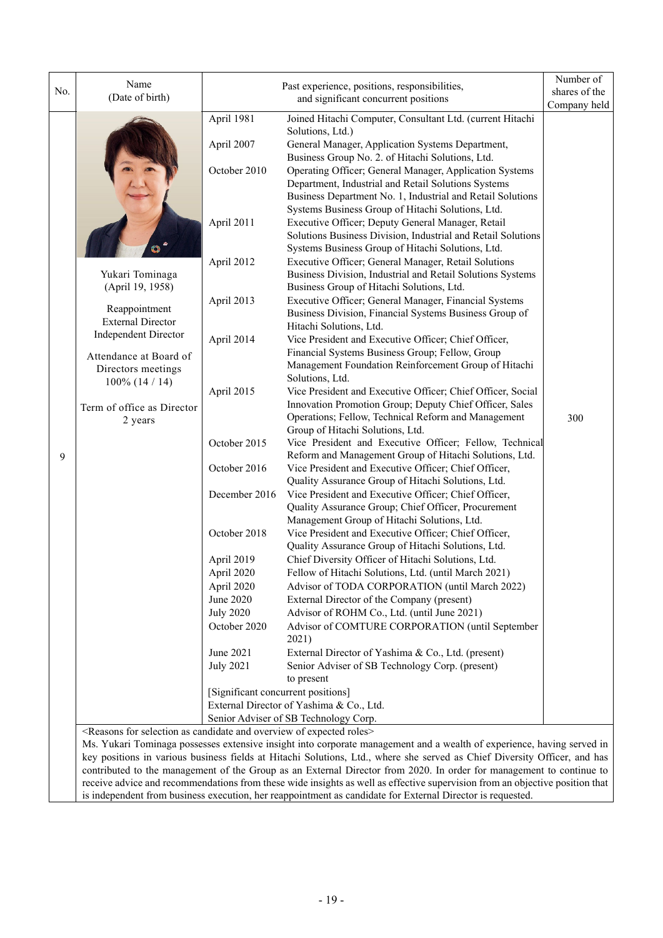|     | Name                                                                                                     |                                    | Past experience, positions, responsibilities,                                                                          |               |  |
|-----|----------------------------------------------------------------------------------------------------------|------------------------------------|------------------------------------------------------------------------------------------------------------------------|---------------|--|
| No. | (Date of birth)                                                                                          |                                    | and significant concurrent positions                                                                                   | shares of the |  |
|     |                                                                                                          |                                    |                                                                                                                        | Company held  |  |
|     |                                                                                                          | April 1981                         | Joined Hitachi Computer, Consultant Ltd. (current Hitachi                                                              |               |  |
|     |                                                                                                          |                                    | Solutions, Ltd.)                                                                                                       |               |  |
|     |                                                                                                          | April 2007                         | General Manager, Application Systems Department,                                                                       |               |  |
|     |                                                                                                          |                                    | Business Group No. 2. of Hitachi Solutions, Ltd.                                                                       |               |  |
|     |                                                                                                          | October 2010                       | Operating Officer; General Manager, Application Systems<br>Department, Industrial and Retail Solutions Systems         |               |  |
|     |                                                                                                          |                                    | Business Department No. 1, Industrial and Retail Solutions                                                             |               |  |
|     |                                                                                                          |                                    | Systems Business Group of Hitachi Solutions, Ltd.                                                                      |               |  |
|     |                                                                                                          | April 2011                         | Executive Officer; Deputy General Manager, Retail                                                                      |               |  |
|     |                                                                                                          |                                    | Solutions Business Division, Industrial and Retail Solutions                                                           |               |  |
|     |                                                                                                          |                                    | Systems Business Group of Hitachi Solutions, Ltd.                                                                      |               |  |
|     |                                                                                                          | April 2012                         | Executive Officer; General Manager, Retail Solutions                                                                   |               |  |
|     | Yukari Tominaga                                                                                          |                                    | Business Division, Industrial and Retail Solutions Systems                                                             |               |  |
|     | (April 19, 1958)                                                                                         |                                    | Business Group of Hitachi Solutions, Ltd.                                                                              |               |  |
|     |                                                                                                          | April 2013                         | Executive Officer; General Manager, Financial Systems                                                                  |               |  |
|     | Reappointment                                                                                            |                                    | Business Division, Financial Systems Business Group of                                                                 |               |  |
|     | <b>External Director</b>                                                                                 |                                    | Hitachi Solutions, Ltd.                                                                                                |               |  |
|     | <b>Independent Director</b>                                                                              | April 2014                         | Vice President and Executive Officer; Chief Officer,                                                                   |               |  |
|     | Attendance at Board of                                                                                   |                                    | Financial Systems Business Group; Fellow, Group                                                                        |               |  |
|     | Directors meetings                                                                                       |                                    | Management Foundation Reinforcement Group of Hitachi                                                                   |               |  |
|     | $100\%$ (14 / 14)                                                                                        |                                    | Solutions, Ltd.                                                                                                        |               |  |
|     |                                                                                                          | April 2015                         | Vice President and Executive Officer; Chief Officer, Social                                                            |               |  |
|     | Term of office as Director                                                                               |                                    | Innovation Promotion Group; Deputy Chief Officer, Sales                                                                |               |  |
|     | 2 years                                                                                                  |                                    | Operations; Fellow, Technical Reform and Management                                                                    | 300           |  |
|     |                                                                                                          | October 2015                       | Group of Hitachi Solutions, Ltd.<br>Vice President and Executive Officer; Fellow, Technical                            |               |  |
| 9   |                                                                                                          |                                    | Reform and Management Group of Hitachi Solutions, Ltd.                                                                 |               |  |
|     |                                                                                                          | October 2016                       | Vice President and Executive Officer; Chief Officer,                                                                   |               |  |
|     |                                                                                                          |                                    | Quality Assurance Group of Hitachi Solutions, Ltd.                                                                     |               |  |
|     |                                                                                                          | December 2016                      | Vice President and Executive Officer; Chief Officer,                                                                   |               |  |
|     |                                                                                                          |                                    | Quality Assurance Group; Chief Officer, Procurement                                                                    |               |  |
|     |                                                                                                          |                                    | Management Group of Hitachi Solutions, Ltd.                                                                            |               |  |
|     |                                                                                                          | October 2018                       | Vice President and Executive Officer; Chief Officer,                                                                   |               |  |
|     |                                                                                                          |                                    | Quality Assurance Group of Hitachi Solutions, Ltd.                                                                     |               |  |
|     |                                                                                                          | April 2019                         | Chief Diversity Officer of Hitachi Solutions, Ltd.                                                                     |               |  |
|     |                                                                                                          | April 2020                         | Fellow of Hitachi Solutions, Ltd. (until March 2021)                                                                   |               |  |
|     |                                                                                                          | April 2020                         | Advisor of TODA CORPORATION (until March 2022)                                                                         |               |  |
|     |                                                                                                          | June 2020                          | External Director of the Company (present)                                                                             |               |  |
|     |                                                                                                          | <b>July 2020</b>                   | Advisor of ROHM Co., Ltd. (until June 2021)                                                                            |               |  |
|     |                                                                                                          | October 2020                       | Advisor of COMTURE CORPORATION (until September                                                                        |               |  |
|     |                                                                                                          |                                    | 2021)                                                                                                                  |               |  |
|     |                                                                                                          | June 2021                          | External Director of Yashima & Co., Ltd. (present)                                                                     |               |  |
|     |                                                                                                          | <b>July 2021</b>                   | Senior Adviser of SB Technology Corp. (present)                                                                        |               |  |
|     |                                                                                                          |                                    | to present                                                                                                             |               |  |
|     |                                                                                                          | [Significant concurrent positions] | External Director of Yashima & Co., Ltd.                                                                               |               |  |
|     |                                                                                                          |                                    | Senior Adviser of SB Technology Corp.                                                                                  |               |  |
|     | <reasons and="" as="" candidate="" expected="" for="" of="" overview="" roles="" selection=""></reasons> |                                    |                                                                                                                        |               |  |
|     |                                                                                                          |                                    | Ms. Yukari Tominaga possesses extensive insight into corporate management and a wealth of experience, having served in |               |  |

Ms. Yukari Tominaga possesses extensive insight into corporate management and a wealth of experience, having served in key positions in various business fields at Hitachi Solutions, Ltd., where she served as Chief Diversity Officer, and has contributed to the management of the Group as an External Director from 2020. In order for management to continue to receive advice and recommendations from these wide insights as well as effective supervision from an objective position that is independent from business execution, her reappointment as candidate for External Director is requested.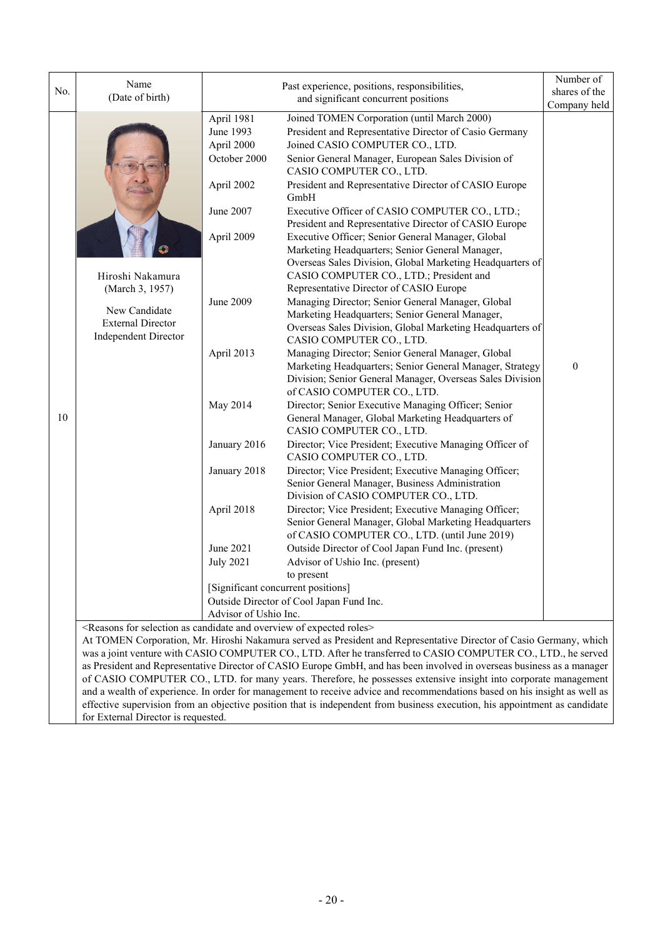| No. | Name<br>(Date of birth)                                                                                                                                                                                                     |                                                                                                                                                                                                                                               | Number of<br>shares of the                                                                                                                                                                                                                                                                                                                                                                                                                                                                                                                                                                                                                                                                                                                                                                                                                                                                                                                                                                                                                                                                                                                                                                                                                                                                                                                                                                                                                                                                                                                                                                                                                                                                                                                                                                                                                                                                                                                                                                   |                              |
|-----|-----------------------------------------------------------------------------------------------------------------------------------------------------------------------------------------------------------------------------|-----------------------------------------------------------------------------------------------------------------------------------------------------------------------------------------------------------------------------------------------|----------------------------------------------------------------------------------------------------------------------------------------------------------------------------------------------------------------------------------------------------------------------------------------------------------------------------------------------------------------------------------------------------------------------------------------------------------------------------------------------------------------------------------------------------------------------------------------------------------------------------------------------------------------------------------------------------------------------------------------------------------------------------------------------------------------------------------------------------------------------------------------------------------------------------------------------------------------------------------------------------------------------------------------------------------------------------------------------------------------------------------------------------------------------------------------------------------------------------------------------------------------------------------------------------------------------------------------------------------------------------------------------------------------------------------------------------------------------------------------------------------------------------------------------------------------------------------------------------------------------------------------------------------------------------------------------------------------------------------------------------------------------------------------------------------------------------------------------------------------------------------------------------------------------------------------------------------------------------------------------|------------------------------|
| 10  | Hiroshi Nakamura<br>(March 3, 1957)<br>New Candidate<br><b>External Director</b><br><b>Independent Director</b><br><reasons and="" as="" candidate="" expected="" for="" of="" overview="" roles="" selection=""></reasons> | April 1981<br>June 1993<br>April 2000<br>October 2000<br>April 2002<br>June 2007<br>April 2009<br>June 2009<br>April 2013<br>May 2014<br>January 2016<br>January 2018<br>April 2018<br>June 2021<br><b>July 2021</b><br>Advisor of Ushio Inc. | and significant concurrent positions<br>Joined TOMEN Corporation (until March 2000)<br>President and Representative Director of Casio Germany<br>Joined CASIO COMPUTER CO., LTD.<br>Senior General Manager, European Sales Division of<br>CASIO COMPUTER CO., LTD.<br>President and Representative Director of CASIO Europe<br>GmbH<br>Executive Officer of CASIO COMPUTER CO., LTD.;<br>President and Representative Director of CASIO Europe<br>Executive Officer; Senior General Manager, Global<br>Marketing Headquarters; Senior General Manager,<br>Overseas Sales Division, Global Marketing Headquarters of<br>CASIO COMPUTER CO., LTD.; President and<br>Representative Director of CASIO Europe<br>Managing Director; Senior General Manager, Global<br>Marketing Headquarters; Senior General Manager,<br>Overseas Sales Division, Global Marketing Headquarters of<br>CASIO COMPUTER CO., LTD.<br>Managing Director; Senior General Manager, Global<br>Marketing Headquarters; Senior General Manager, Strategy<br>Division; Senior General Manager, Overseas Sales Division<br>of CASIO COMPUTER CO., LTD.<br>Director; Senior Executive Managing Officer; Senior<br>General Manager, Global Marketing Headquarters of<br>CASIO COMPUTER CO., LTD.<br>Director; Vice President; Executive Managing Officer of<br>CASIO COMPUTER CO., LTD.<br>Director; Vice President; Executive Managing Officer;<br>Senior General Manager, Business Administration<br>Division of CASIO COMPUTER CO., LTD.<br>Director; Vice President; Executive Managing Officer;<br>Senior General Manager, Global Marketing Headquarters<br>of CASIO COMPUTER CO., LTD. (until June 2019)<br>Outside Director of Cool Japan Fund Inc. (present)<br>Advisor of Ushio Inc. (present)<br>to present<br>[Significant concurrent positions]<br>Outside Director of Cool Japan Fund Inc.<br>At TOMEN Corporation, Mr. Hiroshi Nakamura served as President and Representative Director of Casio Germany, which | Company held<br>$\mathbf{0}$ |
|     |                                                                                                                                                                                                                             |                                                                                                                                                                                                                                               | was a joint venture with CASIO COMPUTER CO., LTD. After he transferred to CASIO COMPUTER CO., LTD., he served<br>as President and Representative Director of CASIO Europe GmbH, and has been involved in overseas business as a manager<br>of CASIO COMPUTER CO., LTD. for many years. Therefore, he possesses extensive insight into corporate management<br>and a wealth of experience. In order for management to receive advice and recommendations based on his insight as well as                                                                                                                                                                                                                                                                                                                                                                                                                                                                                                                                                                                                                                                                                                                                                                                                                                                                                                                                                                                                                                                                                                                                                                                                                                                                                                                                                                                                                                                                                                      |                              |

effective supervision from an objective position that is independent from business execution, his appointment as candidate for External Director is requested.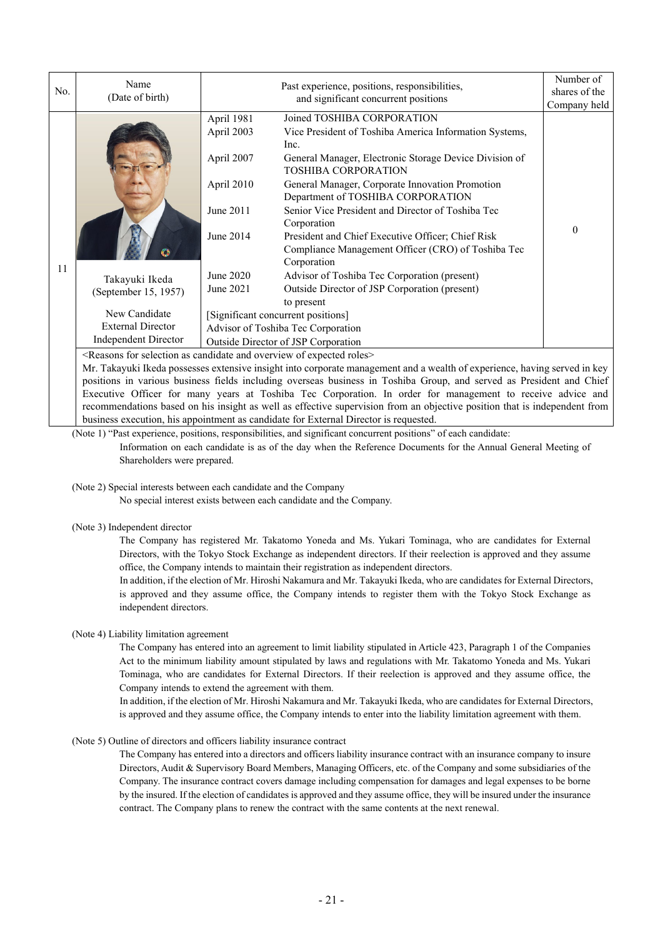| No. | Name<br>(Date of birth)                                                                                            | Past experience, positions, responsibilities,<br>and significant concurrent positions                                                                                                                                                                                                                                                                                                                                                                                                                                                                                                                                                                                                                                                                                                                             | Number of<br>shares of the<br>Company held |
|-----|--------------------------------------------------------------------------------------------------------------------|-------------------------------------------------------------------------------------------------------------------------------------------------------------------------------------------------------------------------------------------------------------------------------------------------------------------------------------------------------------------------------------------------------------------------------------------------------------------------------------------------------------------------------------------------------------------------------------------------------------------------------------------------------------------------------------------------------------------------------------------------------------------------------------------------------------------|--------------------------------------------|
| 11  | Takayuki Ikeda<br>(September 15, 1957)<br>New Candidate<br><b>External Director</b><br><b>Independent Director</b> | Joined TOSHIBA CORPORATION<br>April 1981<br>April 2003<br>Vice President of Toshiba America Information Systems,<br>Inc.<br>April 2007<br>General Manager, Electronic Storage Device Division of<br>TOSHIBA CORPORATION<br>April 2010<br>General Manager, Corporate Innovation Promotion<br>Department of TOSHIBA CORPORATION<br>Senior Vice President and Director of Toshiba Tec<br>June 2011<br>Corporation<br>June 2014<br>President and Chief Executive Officer; Chief Risk<br>Compliance Management Officer (CRO) of Toshiba Tec<br>Corporation<br>June 2020<br>Advisor of Toshiba Tec Corporation (present)<br>Outside Director of JSP Corporation (present)<br>June 2021<br>to present<br>[Significant concurrent positions]<br>Advisor of Toshiba Tec Corporation<br>Outside Director of JSP Corporation | $\Omega$                                   |

<Reasons for selection as candidate and overview of expected roles>

Mr. Takayuki Ikeda possesses extensive insight into corporate management and a wealth of experience, having served in key positions in various business fields including overseas business in Toshiba Group, and served as President and Chief Executive Officer for many years at Toshiba Tec Corporation. In order for management to receive advice and recommendations based on his insight as well as effective supervision from an objective position that is independent from business execution, his appointment as candidate for External Director is requested.

(Note 1) "Past experience, positions, responsibilities, and significant concurrent positions" of each candidate:

Information on each candidate is as of the day when the Reference Documents for the Annual General Meeting of Shareholders were prepared.

(Note 2) Special interests between each candidate and the Company

No special interest exists between each candidate and the Company.

#### (Note 3) Independent director

 The Company has registered Mr. Takatomo Yoneda and Ms. Yukari Tominaga, who are candidates for External Directors, with the Tokyo Stock Exchange as independent directors. If their reelection is approved and they assume office, the Company intends to maintain their registration as independent directors.

In addition, if the election of Mr. Hiroshi Nakamura and Mr. Takayuki Ikeda, who are candidates for External Directors, is approved and they assume office, the Company intends to register them with the Tokyo Stock Exchange as independent directors.

#### (Note 4) Liability limitation agreement

 The Company has entered into an agreement to limit liability stipulated in Article 423, Paragraph 1 of the Companies Act to the minimum liability amount stipulated by laws and regulations with Mr. Takatomo Yoneda and Ms. Yukari Tominaga, who are candidates for External Directors. If their reelection is approved and they assume office, the Company intends to extend the agreement with them.

In addition, if the election of Mr. Hiroshi Nakamura and Mr. Takayuki Ikeda, who are candidates for External Directors, is approved and they assume office, the Company intends to enter into the liability limitation agreement with them.

#### (Note 5) Outline of directors and officers liability insurance contract

The Company has entered into a directors and officers liability insurance contract with an insurance company to insure Directors, Audit & Supervisory Board Members, Managing Officers, etc. of the Company and some subsidiaries of the Company. The insurance contract covers damage including compensation for damages and legal expenses to be borne by the insured. If the election of candidates is approved and they assume office, they will be insured under the insurance contract. The Company plans to renew the contract with the same contents at the next renewal.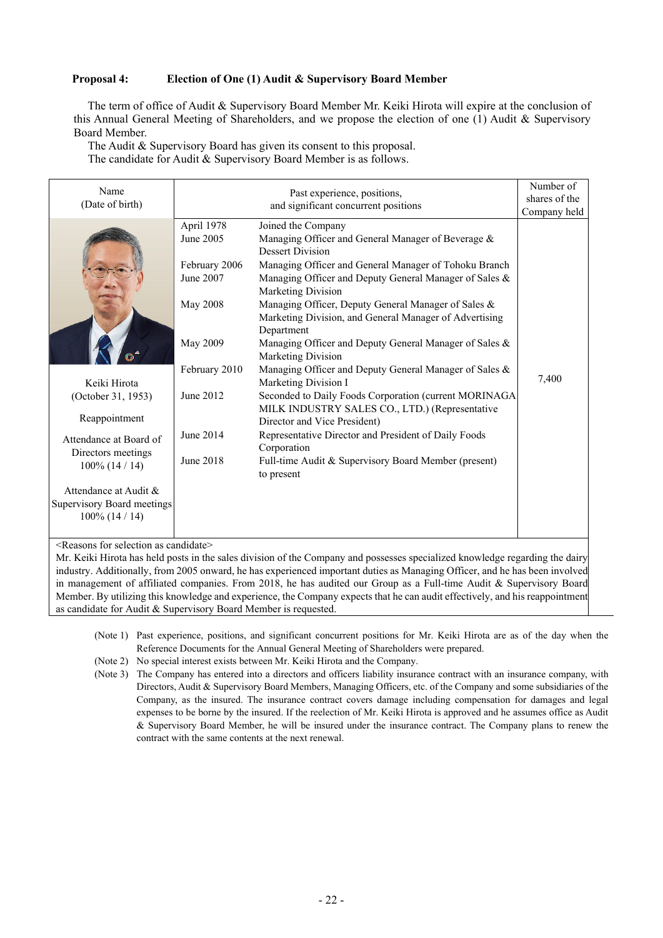#### **Proposal 4: Election of One (1) Audit & Supervisory Board Member**

The term of office of Audit & Supervisory Board Member Mr. Keiki Hirota will expire at the conclusion of this Annual General Meeting of Shareholders, and we propose the election of one (1) Audit & Supervisory Board Member.

The Audit & Supervisory Board has given its consent to this proposal. The candidate for Audit & Supervisory Board Member is as follows.

| Name<br>(Date of birth)    |                 | Number of<br>shares of the                             |       |  |  |  |
|----------------------------|-----------------|--------------------------------------------------------|-------|--|--|--|
|                            |                 | Company held                                           |       |  |  |  |
|                            | April 1978      | Joined the Company                                     |       |  |  |  |
|                            | June 2005       | Managing Officer and General Manager of Beverage &     |       |  |  |  |
|                            |                 | <b>Dessert Division</b>                                |       |  |  |  |
|                            | February 2006   | Managing Officer and General Manager of Tohoku Branch  |       |  |  |  |
|                            | June 2007       | Managing Officer and Deputy General Manager of Sales & |       |  |  |  |
|                            |                 | Marketing Division                                     |       |  |  |  |
|                            | <b>May 2008</b> | Managing Officer, Deputy General Manager of Sales &    |       |  |  |  |
|                            |                 | Marketing Division, and General Manager of Advertising |       |  |  |  |
|                            |                 | Department                                             |       |  |  |  |
|                            | May 2009        | Managing Officer and Deputy General Manager of Sales & |       |  |  |  |
|                            |                 | Marketing Division                                     |       |  |  |  |
|                            | February 2010   | Managing Officer and Deputy General Manager of Sales & | 7,400 |  |  |  |
| Keiki Hirota               |                 | Marketing Division I                                   |       |  |  |  |
| (October 31, 1953)         | June 2012       | Seconded to Daily Foods Corporation (current MORINAGA) |       |  |  |  |
| Reappointment              |                 | MILK INDUSTRY SALES CO., LTD.) (Representative         |       |  |  |  |
|                            |                 | Director and Vice President)                           |       |  |  |  |
| Attendance at Board of     | June 2014       | Representative Director and President of Daily Foods   |       |  |  |  |
| Directors meetings         |                 | Corporation                                            |       |  |  |  |
| $100\%$ (14 / 14)          | June 2018       | Full-time Audit & Supervisory Board Member (present)   |       |  |  |  |
|                            |                 | to present                                             |       |  |  |  |
| Attendance at Audit &      |                 |                                                        |       |  |  |  |
| Supervisory Board meetings |                 |                                                        |       |  |  |  |
| $100\%$ (14 / 14)          |                 |                                                        |       |  |  |  |
|                            |                 |                                                        |       |  |  |  |

<Reasons for selection as candidate>

Mr. Keiki Hirota has held posts in the sales division of the Company and possesses specialized knowledge regarding the dairy industry. Additionally, from 2005 onward, he has experienced important duties as Managing Officer, and he has been involved in management of affiliated companies. From 2018, he has audited our Group as a Full-time Audit & Supervisory Board Member. By utilizing this knowledge and experience, the Company expects that he can audit effectively, and his reappointment as candidate for Audit & Supervisory Board Member is requested.

- (Note 1) Past experience, positions, and significant concurrent positions for Mr. Keiki Hirota are as of the day when the Reference Documents for the Annual General Meeting of Shareholders were prepared.
- (Note 2) No special interest exists between Mr. Keiki Hirota and the Company.
- (Note 3) The Company has entered into a directors and officers liability insurance contract with an insurance company, with Directors, Audit & Supervisory Board Members, Managing Officers, etc. of the Company and some subsidiaries of the Company, as the insured. The insurance contract covers damage including compensation for damages and legal expenses to be borne by the insured. If the reelection of Mr. Keiki Hirota is approved and he assumes office as Audit & Supervisory Board Member, he will be insured under the insurance contract. The Company plans to renew the contract with the same contents at the next renewal.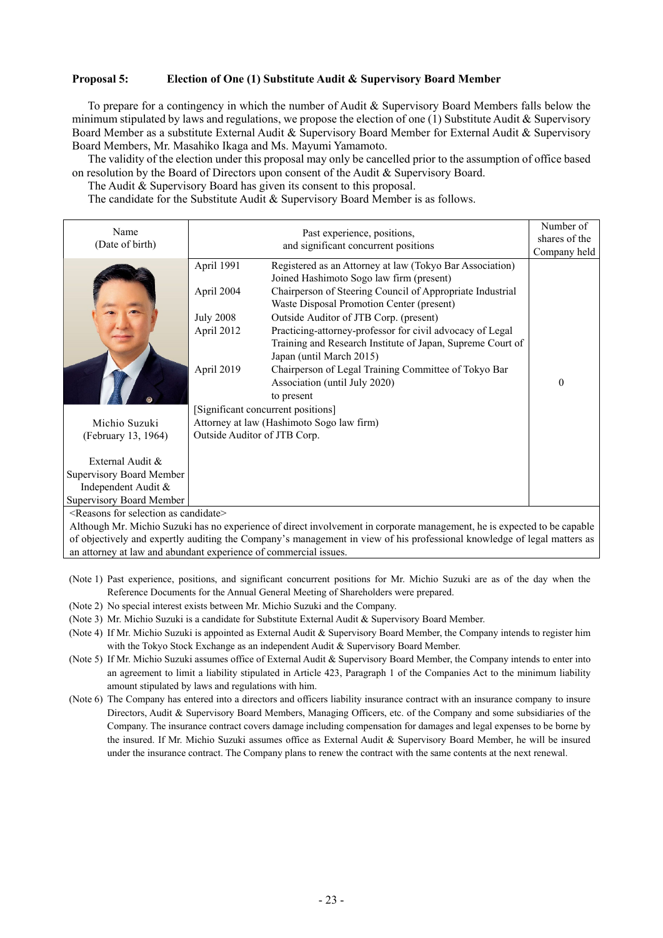#### **Proposal 5: Election of One (1) Substitute Audit & Supervisory Board Member**

To prepare for a contingency in which the number of Audit & Supervisory Board Members falls below the minimum stipulated by laws and regulations, we propose the election of one (1) Substitute Audit & Supervisory Board Member as a substitute External Audit & Supervisory Board Member for External Audit & Supervisory Board Members, Mr. Masahiko Ikaga and Ms. Mayumi Yamamoto.

The validity of the election under this proposal may only be cancelled prior to the assumption of office based on resolution by the Board of Directors upon consent of the Audit & Supervisory Board.

The Audit & Supervisory Board has given its consent to this proposal.

The candidate for the Substitute Audit & Supervisory Board Member is as follows.

| Name<br>(Date of birth)                                                                                                | Past experience, positions,<br>and significant concurrent positions                                                                                                                                                                                                                                                                                                                                                                                                                                                                                                                                                                      | Number of<br>shares of the<br>Company held |
|------------------------------------------------------------------------------------------------------------------------|------------------------------------------------------------------------------------------------------------------------------------------------------------------------------------------------------------------------------------------------------------------------------------------------------------------------------------------------------------------------------------------------------------------------------------------------------------------------------------------------------------------------------------------------------------------------------------------------------------------------------------------|--------------------------------------------|
|                                                                                                                        | April 1991<br>Registered as an Attorney at law (Tokyo Bar Association)<br>Joined Hashimoto Sogo law firm (present)<br>April 2004<br>Chairperson of Steering Council of Appropriate Industrial<br>Waste Disposal Promotion Center (present)<br><b>July 2008</b><br>Outside Auditor of JTB Corp. (present)<br>April 2012<br>Practicing-attorney-professor for civil advocacy of Legal<br>Training and Research Institute of Japan, Supreme Court of<br>Japan (until March 2015)<br>April 2019<br>Chairperson of Legal Training Committee of Tokyo Bar<br>Association (until July 2020)<br>to present<br>[Significant concurrent positions] | $\theta$                                   |
| Michio Suzuki                                                                                                          | Attorney at law (Hashimoto Sogo law firm)                                                                                                                                                                                                                                                                                                                                                                                                                                                                                                                                                                                                |                                            |
| (February 13, 1964)<br>External Audit &<br>Supervisory Board Member<br>Independent Audit &<br>Supervisory Board Member | Outside Auditor of JTB Corp.                                                                                                                                                                                                                                                                                                                                                                                                                                                                                                                                                                                                             |                                            |

<Reasons for selection as candidate>

Although Mr. Michio Suzuki has no experience of direct involvement in corporate management, he is expected to be capable of objectively and expertly auditing the Company's management in view of his professional knowledge of legal matters as an attorney at law and abundant experience of commercial issues.

- (Note 1) Past experience, positions, and significant concurrent positions for Mr. Michio Suzuki are as of the day when the Reference Documents for the Annual General Meeting of Shareholders were prepared.
- (Note 2) No special interest exists between Mr. Michio Suzuki and the Company.
- (Note 3) Mr. Michio Suzuki is a candidate for Substitute External Audit & Supervisory Board Member.
- (Note 4) If Mr. Michio Suzuki is appointed as External Audit & Supervisory Board Member, the Company intends to register him with the Tokyo Stock Exchange as an independent Audit & Supervisory Board Member.
- (Note 5) If Mr. Michio Suzuki assumes office of External Audit & Supervisory Board Member, the Company intends to enter into an agreement to limit a liability stipulated in Article 423, Paragraph 1 of the Companies Act to the minimum liability amount stipulated by laws and regulations with him.
- (Note 6) The Company has entered into a directors and officers liability insurance contract with an insurance company to insure Directors, Audit & Supervisory Board Members, Managing Officers, etc. of the Company and some subsidiaries of the Company. The insurance contract covers damage including compensation for damages and legal expenses to be borne by the insured. If Mr. Michio Suzuki assumes office as External Audit & Supervisory Board Member, he will be insured under the insurance contract. The Company plans to renew the contract with the same contents at the next renewal.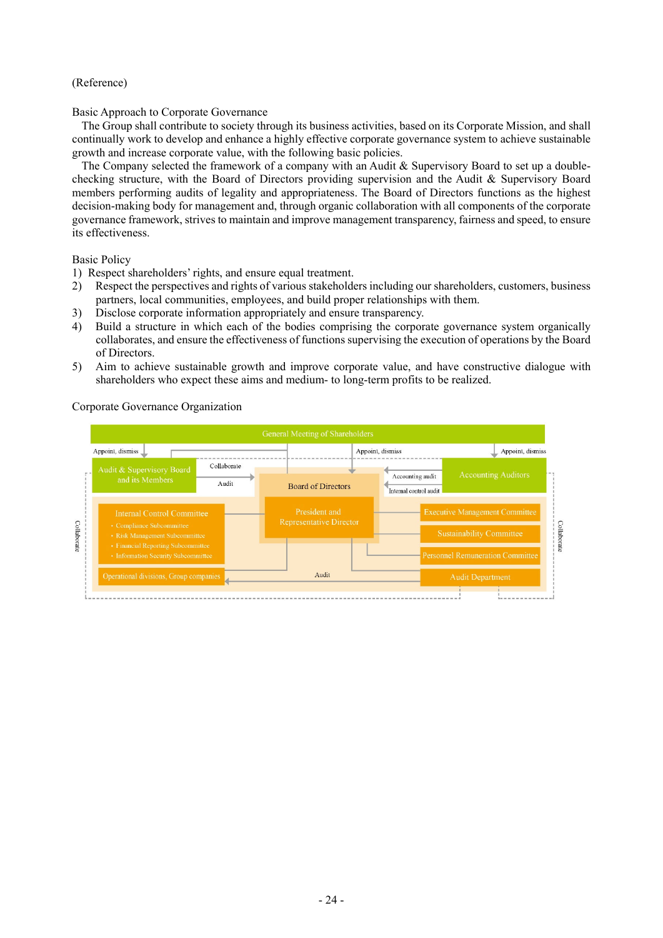#### (Reference)

#### Basic Approach to Corporate Governance

The Group shall contribute to society through its business activities, based on its Corporate Mission, and shall continually work to develop and enhance a highly effective corporate governance system to achieve sustainable growth and increase corporate value, with the following basic policies.

The Company selected the framework of a company with an Audit & Supervisory Board to set up a doublechecking structure, with the Board of Directors providing supervision and the Audit & Supervisory Board members performing audits of legality and appropriateness. The Board of Directors functions as the highest decision-making body for management and, through organic collaboration with all components of the corporate governance framework, strives to maintain and improve management transparency, fairness and speed, to ensure its effectiveness.

Basic Policy

- 1) Respect shareholders' rights, and ensure equal treatment.
- 2) Respect the perspectives and rights of various stakeholders including our shareholders, customers, business partners, local communities, employees, and build proper relationships with them.
- 3) Disclose corporate information appropriately and ensure transparency.
- 4) Build a structure in which each of the bodies comprising the corporate governance system organically collaborates, and ensure the effectiveness of functions supervising the execution of operations by the Board of Directors.
- 5) Aim to achieve sustainable growth and improve corporate value, and have constructive dialogue with shareholders who expect these aims and medium- to long-term profits to be realized.

Corporate Governance Organization

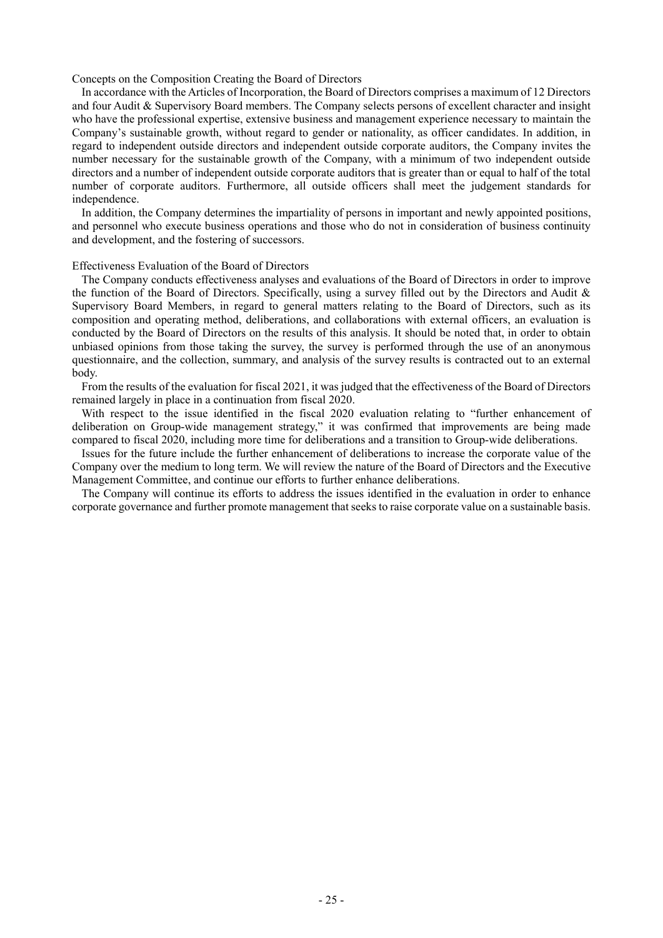Concepts on the Composition Creating the Board of Directors

In accordance with the Articles of Incorporation, the Board of Directors comprises a maximum of 12 Directors and four Audit & Supervisory Board members. The Company selects persons of excellent character and insight who have the professional expertise, extensive business and management experience necessary to maintain the Company's sustainable growth, without regard to gender or nationality, as officer candidates. In addition, in regard to independent outside directors and independent outside corporate auditors, the Company invites the number necessary for the sustainable growth of the Company, with a minimum of two independent outside directors and a number of independent outside corporate auditors that is greater than or equal to half of the total number of corporate auditors. Furthermore, all outside officers shall meet the judgement standards for independence.

In addition, the Company determines the impartiality of persons in important and newly appointed positions, and personnel who execute business operations and those who do not in consideration of business continuity and development, and the fostering of successors.

#### Effectiveness Evaluation of the Board of Directors

The Company conducts effectiveness analyses and evaluations of the Board of Directors in order to improve the function of the Board of Directors. Specifically, using a survey filled out by the Directors and Audit & Supervisory Board Members, in regard to general matters relating to the Board of Directors, such as its composition and operating method, deliberations, and collaborations with external officers, an evaluation is conducted by the Board of Directors on the results of this analysis. It should be noted that, in order to obtain unbiased opinions from those taking the survey, the survey is performed through the use of an anonymous questionnaire, and the collection, summary, and analysis of the survey results is contracted out to an external body.

From the results of the evaluation for fiscal 2021, it was judged that the effectiveness of the Board of Directors remained largely in place in a continuation from fiscal 2020.

With respect to the issue identified in the fiscal 2020 evaluation relating to "further enhancement of deliberation on Group-wide management strategy," it was confirmed that improvements are being made compared to fiscal 2020, including more time for deliberations and a transition to Group-wide deliberations.

Issues for the future include the further enhancement of deliberations to increase the corporate value of the Company over the medium to long term. We will review the nature of the Board of Directors and the Executive Management Committee, and continue our efforts to further enhance deliberations.

The Company will continue its efforts to address the issues identified in the evaluation in order to enhance corporate governance and further promote management that seeks to raise corporate value on a sustainable basis.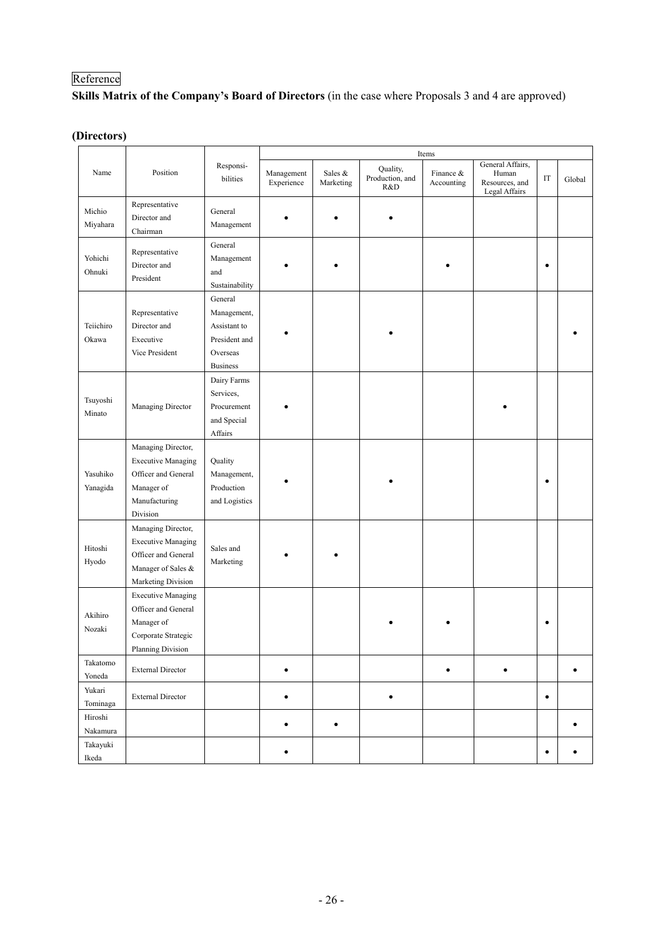# Reference

**Skills Matrix of the Company's Board of Directors** (in the case where Proposals 3 and 4 are approved)

# **(Directors)**

|                           |                                                                                                                    |                                                                                        | Items                    |                      |                                    |                         |                                                              |                     |        |
|---------------------------|--------------------------------------------------------------------------------------------------------------------|----------------------------------------------------------------------------------------|--------------------------|----------------------|------------------------------------|-------------------------|--------------------------------------------------------------|---------------------|--------|
| Name                      | Position                                                                                                           | Responsi-<br>bilities                                                                  | Management<br>Experience | Sales &<br>Marketing | Quality,<br>Production, and<br>R&D | Finance &<br>Accounting | General Affairs,<br>Human<br>Resources, and<br>Legal Affairs | $\operatorname{IT}$ | Global |
| Michio<br>Miyahara        | Representative<br>Director and<br>Chairman                                                                         | General<br>Management                                                                  |                          |                      |                                    |                         |                                                              |                     |        |
| Yohichi<br>Ohnuki         | Representative<br>Director and<br>President                                                                        | General<br>Management<br>and<br>Sustainability                                         |                          |                      |                                    |                         |                                                              | $\bullet$           |        |
| Teiichiro<br>Okawa        | Representative<br>Director and<br>Executive<br>Vice President                                                      | General<br>Management,<br>Assistant to<br>President and<br>Overseas<br><b>Business</b> |                          |                      |                                    |                         |                                                              |                     |        |
| Tsuyoshi<br>Minato        | Managing Director                                                                                                  | Dairy Farms<br>Services,<br>Procurement<br>and Special<br>Affairs                      |                          |                      |                                    |                         |                                                              |                     |        |
| Yasuhiko<br>Yanagida      | Managing Director,<br><b>Executive Managing</b><br>Officer and General<br>Manager of<br>Manufacturing<br>Division  | Quality<br>Management,<br>Production<br>and Logistics                                  |                          |                      |                                    |                         |                                                              | $\bullet$           |        |
| Hitoshi<br>Hyodo          | Managing Director,<br><b>Executive Managing</b><br>Officer and General<br>Manager of Sales &<br>Marketing Division | Sales and<br>Marketing                                                                 |                          |                      |                                    |                         |                                                              |                     |        |
| Akihiro<br>Nozaki         | <b>Executive Managing</b><br>Officer and General<br>Manager of<br>Corporate Strategic<br>Planning Division         |                                                                                        |                          |                      |                                    |                         |                                                              | ٠                   |        |
| Takatomo<br>Yoneda        | <b>External Director</b>                                                                                           |                                                                                        | ٠                        |                      |                                    | ٠                       | $\bullet$                                                    |                     |        |
| Yukari<br>Tominaga        | <b>External Director</b>                                                                                           |                                                                                        | $\bullet$                |                      | $\bullet$                          |                         |                                                              | $\bullet$           |        |
| $\rm Hiroshi$<br>Nakamura |                                                                                                                    |                                                                                        | $\bullet$                | $\bullet$            |                                    |                         |                                                              |                     |        |
| Takayuki<br>$\rm Ikeda$   |                                                                                                                    |                                                                                        | ٠                        |                      |                                    |                         |                                                              | ٠                   |        |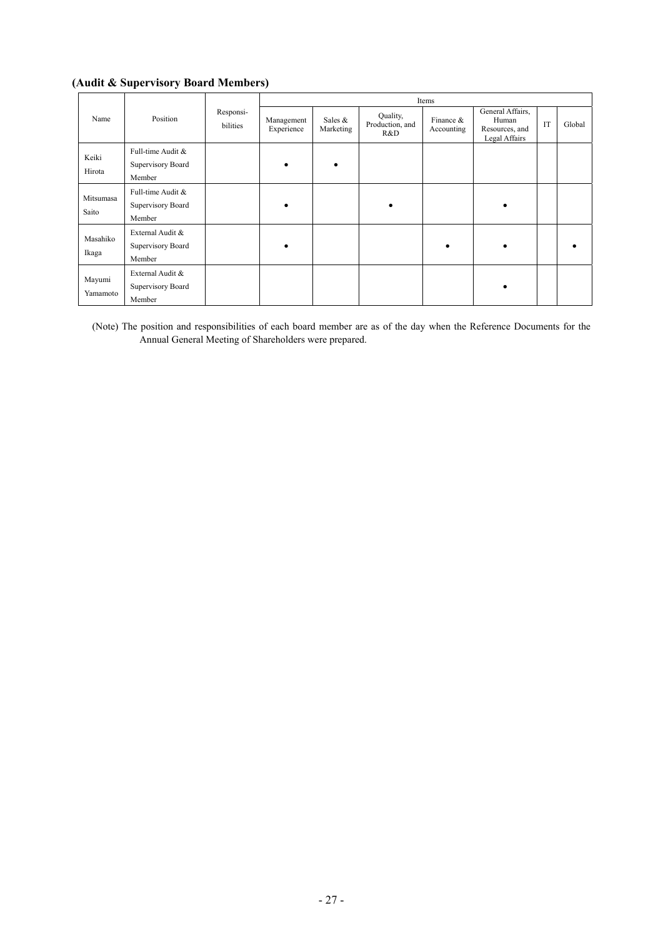# **(Audit & Supervisory Board Members)**

|                    |                                                  |                       | Items                    |                      |                                    |                         |                                                              |    |        |  |
|--------------------|--------------------------------------------------|-----------------------|--------------------------|----------------------|------------------------------------|-------------------------|--------------------------------------------------------------|----|--------|--|
| Name               | Position                                         | Responsi-<br>bilities | Management<br>Experience | Sales &<br>Marketing | Quality,<br>Production, and<br>R&D | Finance &<br>Accounting | General Affairs,<br>Human<br>Resources, and<br>Legal Affairs | IT | Global |  |
| Keiki<br>Hirota    | Full-time Audit &<br>Supervisory Board<br>Member |                       | ٠                        | $\bullet$            |                                    |                         |                                                              |    |        |  |
| Mitsumasa<br>Saito | Full-time Audit &<br>Supervisory Board<br>Member |                       | ٠                        |                      |                                    |                         |                                                              |    |        |  |
| Masahiko<br>Ikaga  | External Audit &<br>Supervisory Board<br>Member  |                       | ٠                        |                      |                                    |                         |                                                              |    |        |  |
| Mayumi<br>Yamamoto | External Audit &<br>Supervisory Board<br>Member  |                       |                          |                      |                                    |                         |                                                              |    |        |  |

(Note) The position and responsibilities of each board member are as of the day when the Reference Documents for the Annual General Meeting of Shareholders were prepared.